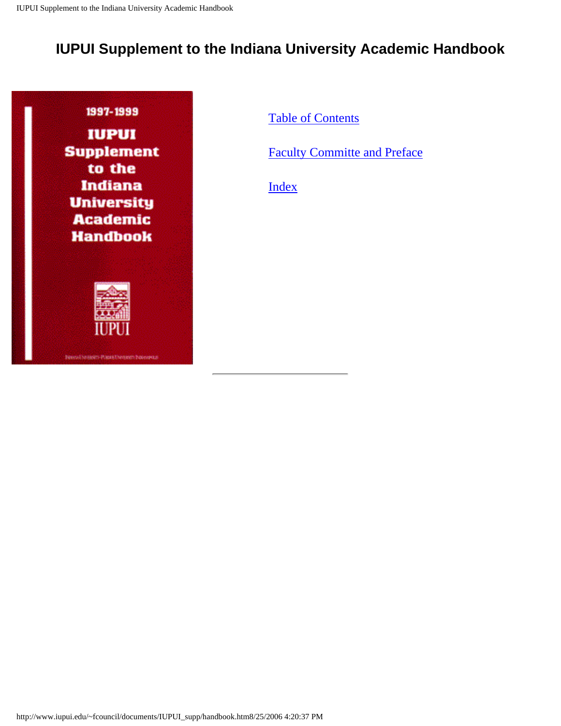# <span id="page-0-0"></span>**IUPUI Supplement to the Indiana University Academic Handbook**





**Denvelopment Passatheneen basewear** 

[Table of Contents](#page-1-0)

[Faculty Committe and Preface](#page-12-0) 

[Index](#page-14-0)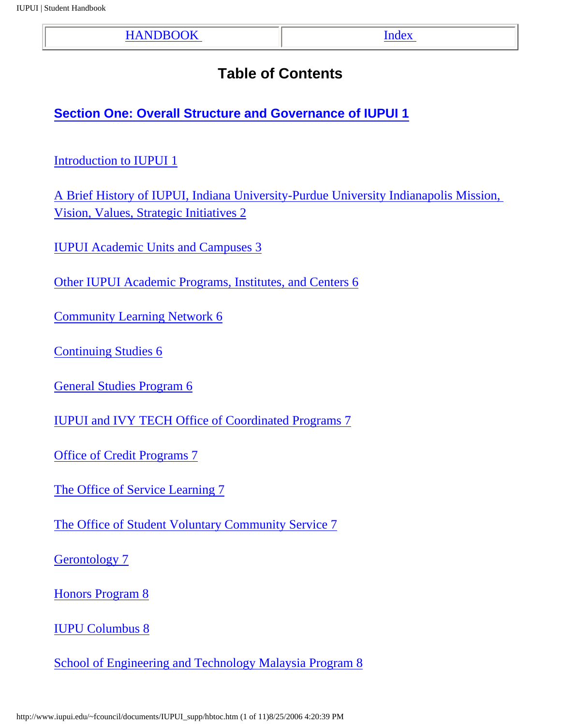| <b>HANDBOOK</b> | Index |
|-----------------|-------|
|                 |       |

# **Table of Contents**

<span id="page-1-0"></span>**[Section One: Overall Structure and Governance of IUPUI 1](http://www.iupui.edu/~fcouncil/documents/IUPUI_supp/hb1.htm)**

[Introduction to IUPUI 1](http://www.iupui.edu/~fcouncil/documents/IUPUI_supp/hb1.htm#1)

[A Brief History of IUPUI, Indiana University-Purdue University Indianapolis Mission,](http://www.iupui.edu/~fcouncil/documents/IUPUI_supp/hb1.htm#2) [Vision, Values, Strategic Initiatives 2](http://www.iupui.edu/~fcouncil/documents/IUPUI_supp/hb1.htm#2)

[IUPUI Academic Units and Campuses 3](http://www.iupui.edu/~fcouncil/documents/IUPUI_supp/hb1.htm#3)

[Other IUPUI Academic Programs, Institutes, and Centers 6](http://www.iupui.edu/~fcouncil/documents/IUPUI_supp/hb1.htm#6)

[Community Learning Network 6](http://www.iupui.edu/~fcouncil/documents/IUPUI_supp/hb1.htm#6)

[Continuing Studies 6](http://www.iupui.edu/~fcouncil/documents/IUPUI_supp/hb1.htm#6)

[General Studies Program 6](http://www.iupui.edu/~fcouncil/documents/IUPUI_supp/hb1.htm#6)

[IUPUI and IVY TECH Office of Coordinated Programs 7](http://www.iupui.edu/~fcouncil/documents/IUPUI_supp/hb1.htm#7)

[Office of Credit Programs 7](http://www.iupui.edu/~fcouncil/documents/IUPUI_supp/hb1.htm#7)

[The Office of Service Learning 7](http://www.iupui.edu/~fcouncil/documents/IUPUI_supp/hb1.htm#7)

[The Office of Student Voluntary Community Service 7](http://www.iupui.edu/~fcouncil/documents/IUPUI_supp/hb1.htm#7)

[Gerontology 7](http://www.iupui.edu/~fcouncil/documents/IUPUI_supp/hb1.htm#7)

[Honors Program 8](http://www.iupui.edu/~fcouncil/documents/IUPUI_supp/hb1.htm#8)

[IUPU Columbus 8](http://www.iupui.edu/~fcouncil/documents/IUPUI_supp/hb1.htm#8)

[School of Engineering and Technology Malaysia Program 8](http://www.iupui.edu/~fcouncil/documents/IUPUI_supp/hb1.htm#8)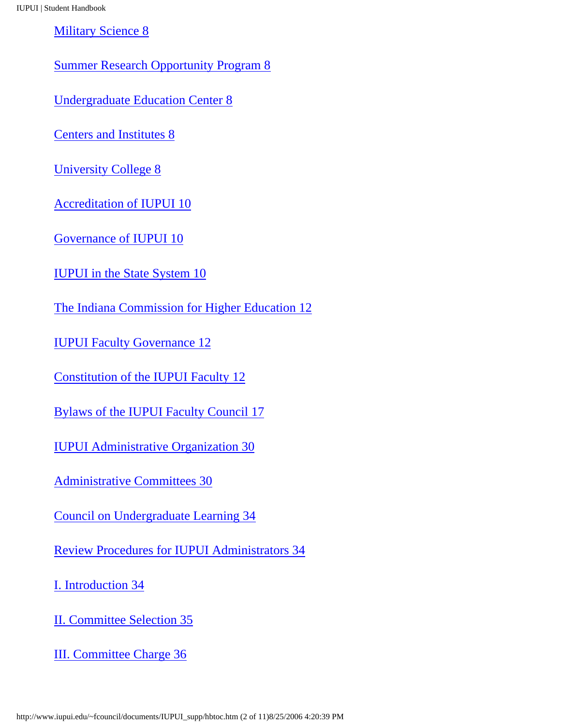[Military Science 8](http://www.iupui.edu/~fcouncil/documents/IUPUI_supp/hb1.htm#8)

[Summer Research Opportunity Program 8](http://www.iupui.edu/~fcouncil/documents/IUPUI_supp/hb1.htm#8)

[Undergraduate Education Center 8](http://www.iupui.edu/~fcouncil/documents/IUPUI_supp/hb1.htm#8)

[Centers and Institutes 8](http://www.iupui.edu/~fcouncil/documents/IUPUI_supp/hb1.htm#8)

[University College 8](http://www.iupui.edu/~fcouncil/documents/IUPUI_supp/hb1.htm#8)

[Accreditation of IUPUI 10](http://www.iupui.edu/~fcouncil/documents/IUPUI_supp/hb1.htm#10)

[Governance of IUPUI 10](http://www.iupui.edu/~fcouncil/documents/IUPUI_supp/hb1.htm#10)

[IUPUI in the State System 10](http://www.iupui.edu/~fcouncil/documents/IUPUI_supp/hb1.htm#10)

[The Indiana Commission for Higher Education 12](http://www.iupui.edu/~fcouncil/documents/IUPUI_supp/hb1.htm#12)

[IUPUI Faculty Governance 12](http://www.iupui.edu/~fcouncil/documents/IUPUI_supp/hb1.htm#12)

[Constitution of the IUPUI Faculty 12](http://www.iupui.edu/~fcouncil/documents/IUPUI_supp/hb1.htm#12)

[Bylaws of the IUPUI Faculty Council 17](http://www.iupui.edu/~fcouncil/documents/IUPUI_supp/hb1.htm#17)

[IUPUI Administrative Organization 30](http://www.iupui.edu/~fcouncil/documents/IUPUI_supp/hb1.htm#30)

[Administrative Committees 30](http://www.iupui.edu/~fcouncil/documents/IUPUI_supp/hb1.htm#30)

[Council on Undergraduate Learning 34](http://www.iupui.edu/~fcouncil/documents/IUPUI_supp/hb1.htm#34)

[Review Procedures for IUPUI Administrators 34](http://www.iupui.edu/~fcouncil/documents/IUPUI_supp/hb1.htm#34)

[I. Introduction 34](http://www.iupui.edu/~fcouncil/documents/IUPUI_supp/hb1.htm#34)

[II. Committee Selection 35](http://www.iupui.edu/~fcouncil/documents/IUPUI_supp/hb1.htm#35)

[III. Committee Charge 36](http://www.iupui.edu/~fcouncil/documents/IUPUI_supp/hb1.htm#36)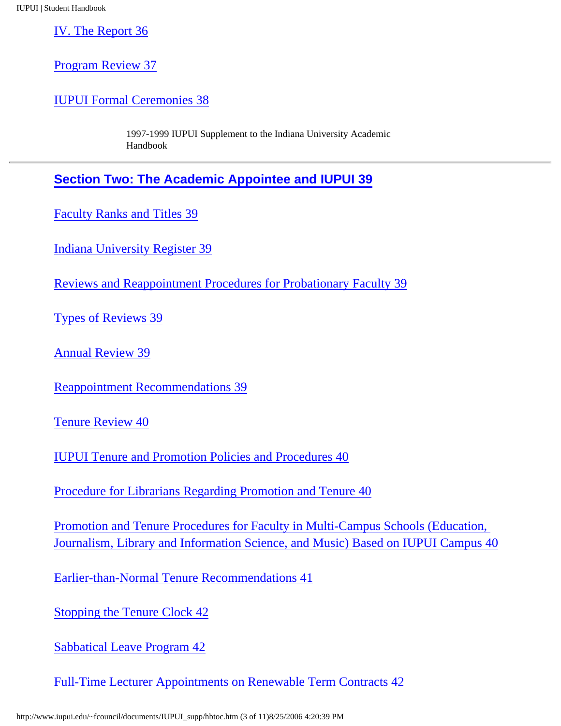[IV. The Report 36](http://www.iupui.edu/~fcouncil/documents/IUPUI_supp/hb1.htm#36)

[Program Review 37](http://www.iupui.edu/~fcouncil/documents/IUPUI_supp/hb1.htm#37)

[IUPUI Formal Ceremonies 38](http://www.iupui.edu/~fcouncil/documents/IUPUI_supp/hb1.htm#38)

1997-1999 IUPUI Supplement to the Indiana University Academic Handbook

**[Section Two: The Academic Appointee and IUPUI 39](http://www.iupui.edu/~fcouncil/documents/IUPUI_supp/hb2.htm)**

[Faculty Ranks and Titles 39](http://www.iupui.edu/~fcouncil/documents/IUPUI_supp/hb2.htm#39)

[Indiana University Register 39](http://www.iupui.edu/~fcouncil/documents/IUPUI_supp/hb2.htm#39)

[Reviews and Reappointment Procedures for Probationary Faculty 39](http://www.iupui.edu/~fcouncil/documents/IUPUI_supp/hb2.htm#39)

[Types of Reviews 39](http://www.iupui.edu/~fcouncil/documents/IUPUI_supp/hb2.htm#39)

[Annual Review 39](http://www.iupui.edu/~fcouncil/documents/IUPUI_supp/hb2.htm#39)

[Reappointment Recommendations 39](http://www.iupui.edu/~fcouncil/documents/IUPUI_supp/hb2.htm#39)

[Tenure Review 40](http://www.iupui.edu/~fcouncil/documents/IUPUI_supp/hb2.htm#40)

[IUPUI Tenure and Promotion Policies and Procedures 40](http://www.iupui.edu/~fcouncil/documents/IUPUI_supp/hb2.htm#40)

[Procedure for Librarians Regarding Promotion and Tenure 40](http://www.iupui.edu/~fcouncil/documents/IUPUI_supp/hb2.htm#40)

[Promotion and Tenure Procedures for Faculty in Multi-Campus Schools \(Education,](http://www.iupui.edu/~fcouncil/documents/IUPUI_supp/hb2.htm#40)  [Journalism, Library and Information Science, and Music\) Based on IUPUI Campus 40](http://www.iupui.edu/~fcouncil/documents/IUPUI_supp/hb2.htm#40)

[Earlier-than-Normal Tenure Recommendations 41](http://www.iupui.edu/~fcouncil/documents/IUPUI_supp/hb2.htm#41)

[Stopping the Tenure Clock 42](http://www.iupui.edu/~fcouncil/documents/IUPUI_supp/hb2.htm#42)

[Sabbatical Leave Program 42](http://www.iupui.edu/~fcouncil/documents/IUPUI_supp/hb2.htm#42)

[Full-Time Lecturer Appointments on Renewable Term Contracts 42](http://www.iupui.edu/~fcouncil/documents/IUPUI_supp/hb2.htm#42)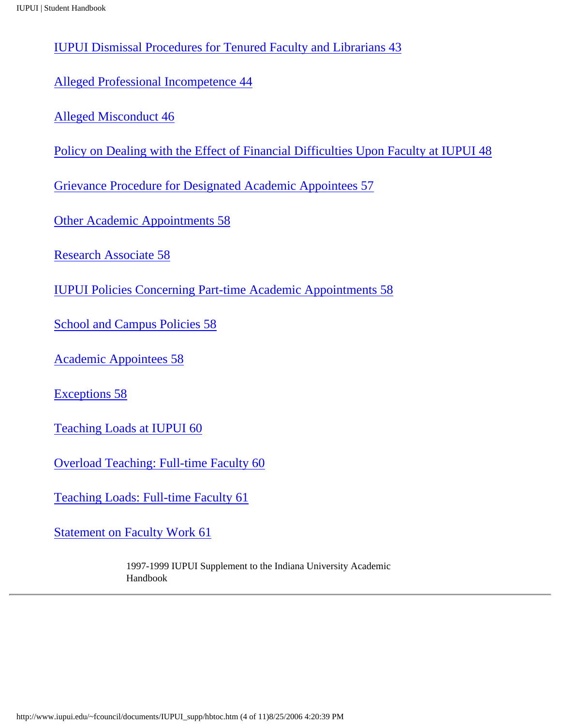[IUPUI Dismissal Procedures for Tenured Faculty and Librarians 43](http://www.iupui.edu/~fcouncil/documents/IUPUI_supp/hb2.htm#43)

[Alleged Professional Incompetence 44](http://www.iupui.edu/~fcouncil/documents/IUPUI_supp/hb2.htm#44)

[Alleged Misconduct 46](http://www.iupui.edu/~fcouncil/documents/IUPUI_supp/hb2.htm#46)

[Policy on Dealing with the Effect of Financial Difficulties Upon Faculty at IUPUI 48](http://www.iupui.edu/~fcouncil/documents/IUPUI_supp/hb2.htm#48)

[Grievance Procedure for Designated Academic Appointees 57](http://www.iupui.edu/~fcouncil/documents/IUPUI_supp/hb2.htm#57)

[Other Academic Appointments 58](http://www.iupui.edu/~fcouncil/documents/IUPUI_supp/hb2.htm#58)

[Research Associate 58](http://www.iupui.edu/~fcouncil/documents/IUPUI_supp/hb2.htm#58)

[IUPUI Policies Concerning Part-time Academic Appointments 58](http://www.iupui.edu/~fcouncil/documents/IUPUI_supp/hb2.htm#58)

[School and Campus Policies 58](http://www.iupui.edu/~fcouncil/documents/IUPUI_supp/hb2.htm#58)

[Academic Appointees 58](http://www.iupui.edu/~fcouncil/documents/IUPUI_supp/hb2.htm#58)

[Exceptions 58](http://www.iupui.edu/~fcouncil/documents/IUPUI_supp/hb2.htm#58)

[Teaching Loads at IUPUI 60](http://www.iupui.edu/~fcouncil/documents/IUPUI_supp/hb2.htm#60)

[Overload Teaching: Full-time Faculty 60](http://www.iupui.edu/~fcouncil/documents/IUPUI_supp/hb2.htm#60)

[Teaching Loads: Full-time Faculty 61](http://www.iupui.edu/~fcouncil/documents/IUPUI_supp/hb2.htm#61)

[Statement on Faculty Work 61](http://www.iupui.edu/~fcouncil/documents/IUPUI_supp/hb2.htm#61)

1997-1999 IUPUI Supplement to the Indiana University Academic Handbook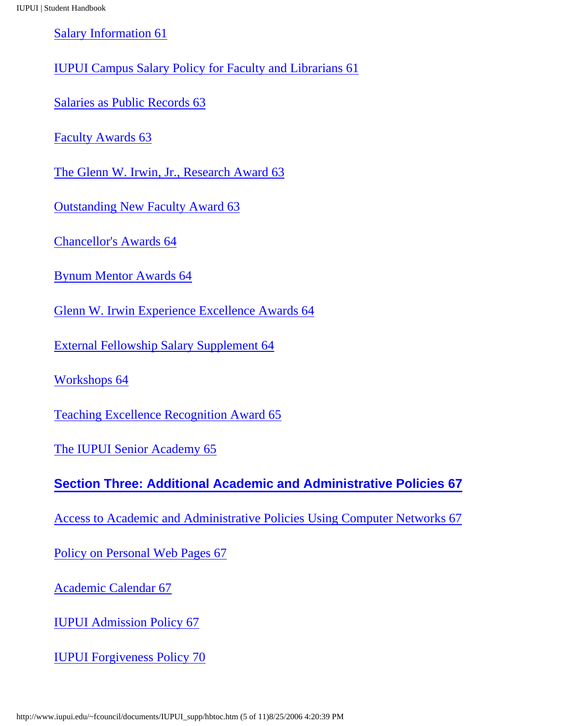[Salary Information 61](http://www.iupui.edu/~fcouncil/documents/IUPUI_supp/hb2.htm#61)

[IUPUI Campus Salary Policy for Faculty and Librarians 61](http://www.iupui.edu/~fcouncil/documents/IUPUI_supp/hb2.htm#61)

[Salaries as Public Records 63](http://www.iupui.edu/~fcouncil/documents/IUPUI_supp/hb2.htm#63)

[Faculty Awards 63](http://www.iupui.edu/~fcouncil/documents/IUPUI_supp/hb2.htm#63)

[The Glenn W. Irwin, Jr., Research Award 63](http://www.iupui.edu/~fcouncil/documents/IUPUI_supp/hb2.htm#63)

[Outstanding New Faculty Award 63](http://www.iupui.edu/~fcouncil/documents/IUPUI_supp/hb2.htm#63)

[Chancellor's Awards 64](http://www.iupui.edu/~fcouncil/documents/IUPUI_supp/hb2.htm#64)

[Bynum Mentor Awards 64](http://www.iupui.edu/~fcouncil/documents/IUPUI_supp/hb2.htm#64)

[Glenn W. Irwin Experience Excellence Awards 64](http://www.iupui.edu/~fcouncil/documents/IUPUI_supp/hb2.htm#64)

[External Fellowship Salary Supplement 64](http://www.iupui.edu/~fcouncil/documents/IUPUI_supp/hb2.htm#64)

[Workshops 64](http://www.iupui.edu/~fcouncil/documents/IUPUI_supp/hb2.htm#64)

[Teaching Excellence Recognition Award 65](http://www.iupui.edu/~fcouncil/documents/IUPUI_supp/hb2.htm#65)

[The IUPUI Senior Academy 65](http://www.iupui.edu/~fcouncil/documents/IUPUI_supp/hb2.htm#65)

**[Section Three: Additional Academic and Administrative Policies 67](http://www.iupui.edu/~fcouncil/documents/IUPUI_supp/hb3.htm)**

[Access to Academic and Administrative Policies Using Computer Networks 67](http://www.iupui.edu/~fcouncil/documents/IUPUI_supp/hb3.htm#67)

[Policy on Personal Web Pages 67](http://www.iupui.edu/~fcouncil/documents/IUPUI_supp/hb3.htm#67)

[Academic Calendar 67](http://www.iupui.edu/~fcouncil/documents/IUPUI_supp/hb3.htm#67)

[IUPUI Admission Policy 67](http://www.iupui.edu/~fcouncil/documents/IUPUI_supp/hb3.htm#67)

[IUPUI Forgiveness Policy 70](http://www.iupui.edu/~fcouncil/documents/IUPUI_supp/hb3.htm#70)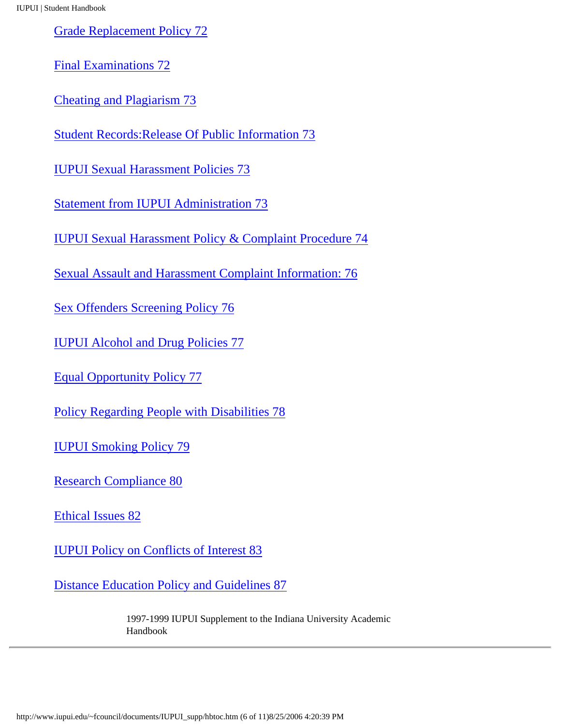[Grade Replacement Policy 72](http://www.iupui.edu/~fcouncil/documents/IUPUI_supp/hb3.htm#72)

[Final Examinations 72](http://www.iupui.edu/~fcouncil/documents/IUPUI_supp/hb3.htm#72)

[Cheating and Plagiarism 73](http://www.iupui.edu/~fcouncil/documents/IUPUI_supp/hb3.htm#73)

[Student Records:Release Of Public Information 73](http://www.iupui.edu/~fcouncil/documents/IUPUI_supp/hb3.htm#73)

[IUPUI Sexual Harassment Policies 73](http://www.iupui.edu/~fcouncil/documents/IUPUI_supp/hb3.htm#73)

[Statement from IUPUI Administration 73](http://www.iupui.edu/~fcouncil/documents/IUPUI_supp/hb3.htm#73)

[IUPUI Sexual Harassment Policy & Complaint Procedure 74](http://www.iupui.edu/~fcouncil/documents/IUPUI_supp/hb3.htm#74)

[Sexual Assault and Harassment Complaint Information: 76](http://www.iupui.edu/~fcouncil/documents/IUPUI_supp/hb3.htm#76)

[Sex Offenders Screening Policy 76](http://www.iupui.edu/~fcouncil/documents/IUPUI_supp/hb3.htm#76)

[IUPUI Alcohol and Drug Policies 77](http://www.iupui.edu/~fcouncil/documents/IUPUI_supp/hb3.htm#77)

[Equal Opportunity Policy 77](http://www.iupui.edu/~fcouncil/documents/IUPUI_supp/hb3.htm#77)

[Policy Regarding People with Disabilities 78](http://www.iupui.edu/~fcouncil/documents/IUPUI_supp/hb3.htm#78)

[IUPUI Smoking Policy 79](http://www.iupui.edu/~fcouncil/documents/IUPUI_supp/hb3.htm#79)

[Research Compliance 80](http://www.iupui.edu/~fcouncil/documents/IUPUI_supp/hb3.htm#80)

[Ethical Issues 82](http://www.iupui.edu/~fcouncil/documents/IUPUI_supp/hb3.htm#82)

[IUPUI Policy on Conflicts of Interest 83](http://www.iupui.edu/~fcouncil/documents/IUPUI_supp/hb3.htm#83)

[Distance Education Policy and Guidelines 87](http://www.iupui.edu/~fcouncil/documents/IUPUI_supp/hb3.htm#87)

1997-1999 IUPUI Supplement to the Indiana University Academic Handbook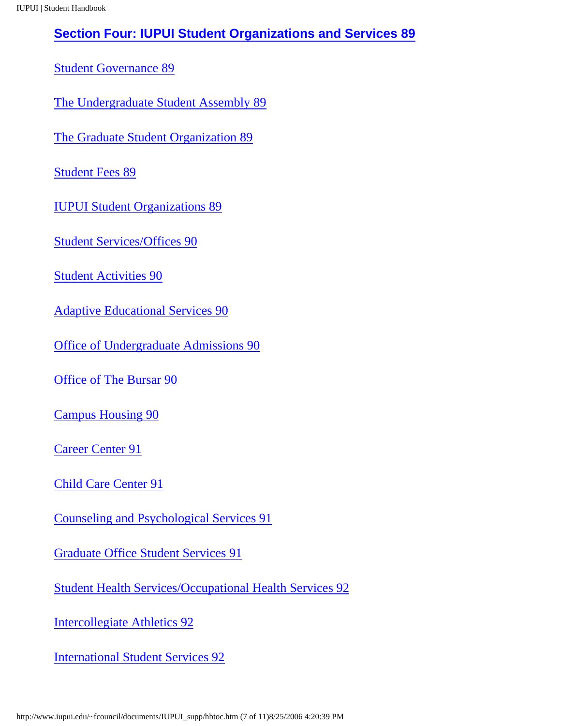### **[Section Four: IUPUI Student Organizations and Services 89](http://www.iupui.edu/~fcouncil/documents/IUPUI_supp/hb4.htm)**

[Student Governance 89](http://www.iupui.edu/~fcouncil/documents/IUPUI_supp/hb4.htm#89)

[The Undergraduate Student Assembly 89](http://www.iupui.edu/~fcouncil/documents/IUPUI_supp/hb4.htm#89)

[The Graduate Student Organization 89](http://www.iupui.edu/~fcouncil/documents/IUPUI_supp/hb4.htm#89)

[Student Fees 89](http://www.iupui.edu/~fcouncil/documents/IUPUI_supp/hb4.htm#89)

[IUPUI Student Organizations 89](http://www.iupui.edu/~fcouncil/documents/IUPUI_supp/hb4.htm#89)

[Student Services/Offices 90](http://www.iupui.edu/~fcouncil/documents/IUPUI_supp/hb4.htm#90)

[Student Activities 90](http://www.iupui.edu/~fcouncil/documents/IUPUI_supp/hb4.htm#90)

[Adaptive Educational Services 90](http://www.iupui.edu/~fcouncil/documents/IUPUI_supp/hb4.htm#90)

[Office of Undergraduate Admissions 90](http://www.iupui.edu/~fcouncil/documents/IUPUI_supp/hb4.htm#90)

[Office of The Bursar 90](http://www.iupui.edu/~fcouncil/documents/IUPUI_supp/hb4.htm#90)

[Campus Housing 90](http://www.iupui.edu/~fcouncil/documents/IUPUI_supp/hb4.htm#90)

[Career Center 91](http://www.iupui.edu/~fcouncil/documents/IUPUI_supp/hb4.htm#91)

[Child Care Center 91](http://www.iupui.edu/~fcouncil/documents/IUPUI_supp/hb4.htm#91)

[Counseling and Psychological Services 91](http://www.iupui.edu/~fcouncil/documents/IUPUI_supp/hb4.htm#91)

[Graduate Office Student Services 91](http://www.iupui.edu/~fcouncil/documents/IUPUI_supp/hb4.htm#91)

[Student Health Services/Occupational Health Services 92](http://www.iupui.edu/~fcouncil/documents/IUPUI_supp/hb4.htm#92)

[Intercollegiate Athletics 92](http://www.iupui.edu/~fcouncil/documents/IUPUI_supp/hb4.htm#92)

[International Student Services 92](http://www.iupui.edu/~fcouncil/documents/IUPUI_supp/hb4.htm#92)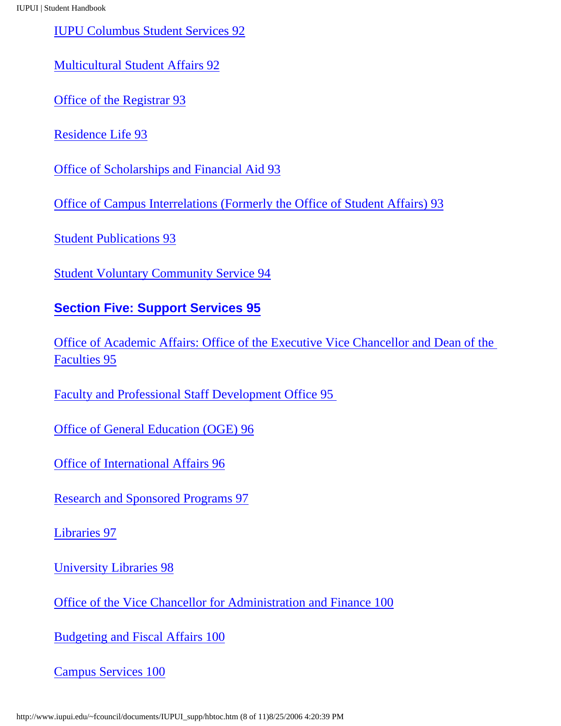[IUPU Columbus Student Services 92](http://www.iupui.edu/~fcouncil/documents/IUPUI_supp/hb4.htm#92)

[Multicultural Student Affairs 92](http://www.iupui.edu/~fcouncil/documents/IUPUI_supp/hb4.htm#92)

[Office of the Registrar 93](http://www.iupui.edu/~fcouncil/documents/IUPUI_supp/hb4.htm#93)

[Residence Life 93](http://www.iupui.edu/~fcouncil/documents/IUPUI_supp/hb4.htm#93)

[Office of Scholarships and Financial Aid 93](http://www.iupui.edu/~fcouncil/documents/IUPUI_supp/hb4.htm#93)

[Office of Campus Interrelations \(Formerly the Office of Student Affairs\) 93](http://www.iupui.edu/~fcouncil/documents/IUPUI_supp/hb4.htm#93)

[Student Publications 93](http://www.iupui.edu/~fcouncil/documents/IUPUI_supp/hb4.htm#93)

[Student Voluntary Community Service 94](http://www.iupui.edu/~fcouncil/documents/IUPUI_supp/hb4.htm#94)

#### **[Section Five: Support Services 95](http://www.iupui.edu/~fcouncil/documents/IUPUI_supp/hb5.htm)**

[Office of Academic Affairs: Office of the Executive Vice Chancellor and Dean of the](http://www.iupui.edu/~fcouncil/documents/IUPUI_supp/hb5.htm#95) [Faculties 95](http://www.iupui.edu/~fcouncil/documents/IUPUI_supp/hb5.htm#95)

[Faculty and Professional Staff Development Office 95](http://www.iupui.edu/~fcouncil/documents/IUPUI_supp/hb5.htm#95) 

[Office of General Education \(OGE\) 96](http://www.iupui.edu/~fcouncil/documents/IUPUI_supp/hb5.htm#96)

[Office of International Affairs 96](http://www.iupui.edu/~fcouncil/documents/IUPUI_supp/hb5.htm#96)

[Research and Sponsored Programs 97](http://www.iupui.edu/~fcouncil/documents/IUPUI_supp/hb5.htm#97)

[Libraries 97](http://www.iupui.edu/~fcouncil/documents/IUPUI_supp/hb5.htm#97)

[University Libraries 98](http://www.iupui.edu/~fcouncil/documents/IUPUI_supp/hb5.htm#98)

[Office of the Vice Chancellor for Administration and Finance 100](http://www.iupui.edu/~fcouncil/documents/IUPUI_supp/hb5.htm#100)

[Budgeting and Fiscal Affairs 100](http://www.iupui.edu/~fcouncil/documents/IUPUI_supp/hb5.htm#100)

[Campus Services 100](http://www.iupui.edu/~fcouncil/documents/IUPUI_supp/hb5.htm#100)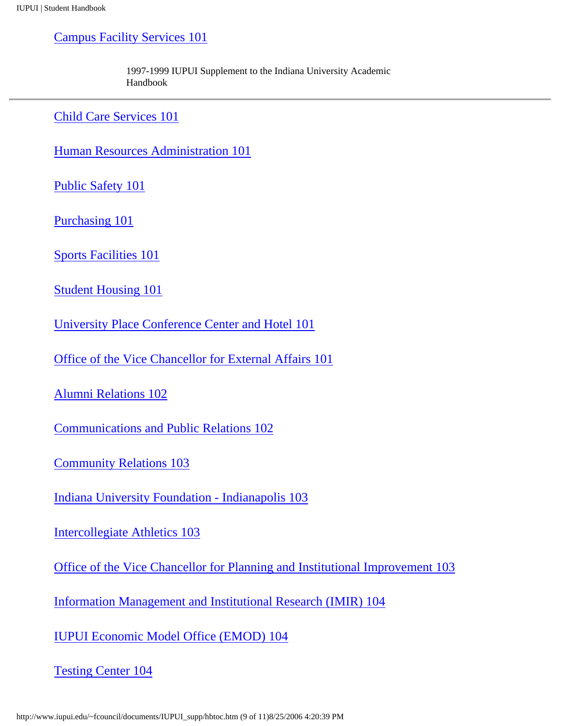[Campus Facility Services 101](http://www.iupui.edu/~fcouncil/documents/IUPUI_supp/hb5.htm#101)

1997-1999 IUPUI Supplement to the Indiana University Academic Handbook

[Child Care Services 101](http://www.iupui.edu/~fcouncil/documents/IUPUI_supp/hb5.htm#101)

[Human Resources Administration 101](http://www.iupui.edu/~fcouncil/documents/IUPUI_supp/hb5.htm#101)

[Public Safety 101](http://www.iupui.edu/~fcouncil/documents/IUPUI_supp/hb5.htm#101)

[Purchasing 101](http://www.iupui.edu/~fcouncil/documents/IUPUI_supp/hb5.htm#101)

[Sports Facilities 101](http://www.iupui.edu/~fcouncil/documents/IUPUI_supp/hb5.htm#101)

[Student Housing 101](http://www.iupui.edu/~fcouncil/documents/IUPUI_supp/hb5.htm#101)

[University Place Conference Center and Hotel 101](http://www.iupui.edu/~fcouncil/documents/IUPUI_supp/hb5.htm#101)

[Office of the Vice Chancellor for External Affairs 101](http://www.iupui.edu/~fcouncil/documents/IUPUI_supp/hb5.htm#101)

[Alumni Relations 102](http://www.iupui.edu/~fcouncil/documents/IUPUI_supp/hb5.htm#102)

[Communications and Public Relations 102](http://www.iupui.edu/~fcouncil/documents/IUPUI_supp/hb5.htm#102)

[Community Relations 103](http://www.iupui.edu/~fcouncil/documents/IUPUI_supp/hb5.htm#103)

[Indiana University Foundation - Indianapolis 103](http://www.iupui.edu/~fcouncil/documents/IUPUI_supp/hb5.htm#103)

[Intercollegiate Athletics 103](http://www.iupui.edu/~fcouncil/documents/IUPUI_supp/hb5.htm#103)

[Office of the Vice Chancellor for Planning and Institutional Improvement 103](http://www.iupui.edu/~fcouncil/documents/IUPUI_supp/hb5.htm#103)

[Information Management and Institutional Research \(IMIR\) 104](http://www.iupui.edu/~fcouncil/documents/IUPUI_supp/hb5.htm#104)

[IUPUI Economic Model Office \(EMOD\) 104](http://www.iupui.edu/~fcouncil/documents/IUPUI_supp/hb5.htm#104)

[Testing Center 104](http://www.iupui.edu/~fcouncil/documents/IUPUI_supp/hb5.htm#104)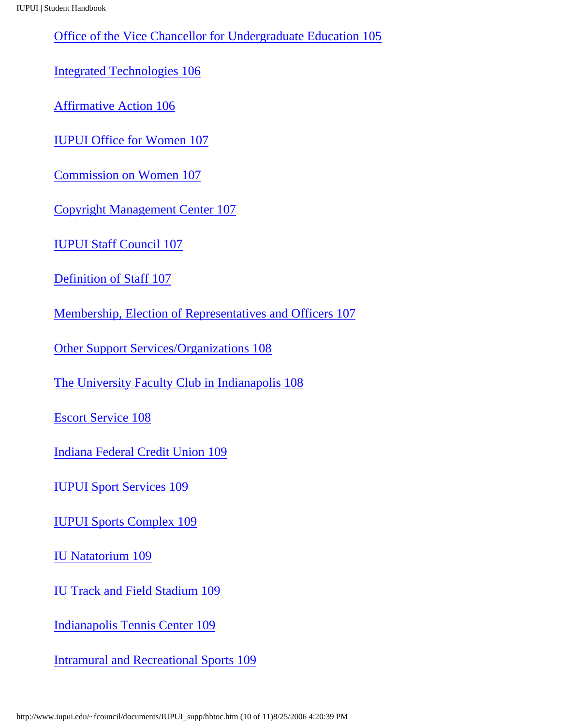[Office of the Vice Chancellor for Undergraduate Education 105](http://www.iupui.edu/~fcouncil/documents/IUPUI_supp/hb5.htm#105)

[Integrated Technologies 106](http://www.iupui.edu/~fcouncil/documents/IUPUI_supp/hb5.htm#106)

[Affirmative Action 106](http://www.iupui.edu/~fcouncil/documents/IUPUI_supp/hb5.htm#106)

[IUPUI Office for Women 107](http://www.iupui.edu/~fcouncil/documents/IUPUI_supp/hb5.htm#107)

[Commission on Women 107](http://www.iupui.edu/~fcouncil/documents/IUPUI_supp/hb5.htm#107)

[Copyright Management Center 107](http://www.iupui.edu/~fcouncil/documents/IUPUI_supp/hb5.htm#107)

[IUPUI Staff Council 107](http://www.iupui.edu/~fcouncil/documents/IUPUI_supp/hb5.htm#107)

[Definition of Staff 107](http://www.iupui.edu/~fcouncil/documents/IUPUI_supp/hb5.htm#107)

[Membership, Election of Representatives and Officers 107](http://www.iupui.edu/~fcouncil/documents/IUPUI_supp/hb5.htm#107)

[Other Support Services/Organizations 108](http://www.iupui.edu/~fcouncil/documents/IUPUI_supp/hb5.htm#108)

[The University Faculty Club in Indianapolis 108](http://www.iupui.edu/~fcouncil/documents/IUPUI_supp/hb5.htm#108)

[Escort Service 108](http://www.iupui.edu/~fcouncil/documents/IUPUI_supp/hb5.htm#108)

[Indiana Federal Credit Union 109](http://www.iupui.edu/~fcouncil/documents/IUPUI_supp/hb5.htm#109)

[IUPUI Sport Services 109](http://www.iupui.edu/~fcouncil/documents/IUPUI_supp/hb5.htm#109)

[IUPUI Sports Complex 109](http://www.iupui.edu/~fcouncil/documents/IUPUI_supp/hb5.htm#109)

[IU Natatorium 109](http://www.iupui.edu/~fcouncil/documents/IUPUI_supp/hb5.htm#109)

[IU Track and Field Stadium 109](http://www.iupui.edu/~fcouncil/documents/IUPUI_supp/hb5.htm#109)

[Indianapolis Tennis Center 109](http://www.iupui.edu/~fcouncil/documents/IUPUI_supp/hb5.htm#109)

[Intramural and Recreational Sports 109](http://www.iupui.edu/~fcouncil/documents/IUPUI_supp/hb5.htm#109)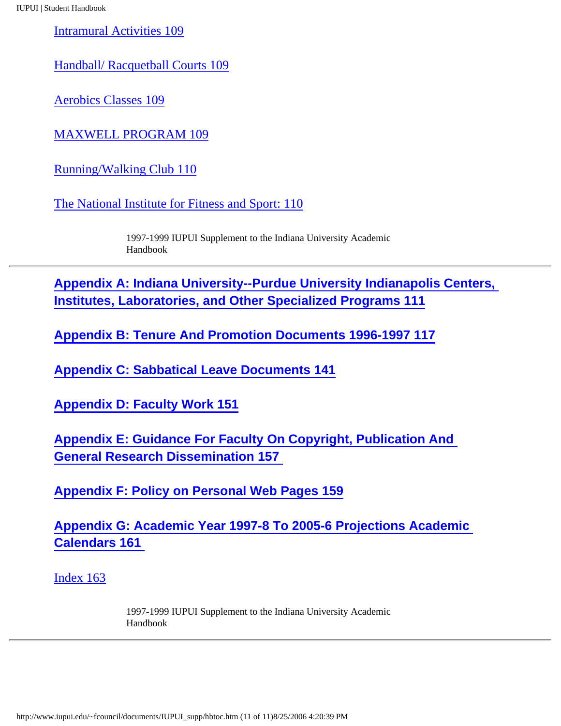[Intramural Activities 109](http://www.iupui.edu/~fcouncil/documents/IUPUI_supp/hb5.htm#109)

[Handball/ Racquetball Courts 109](http://www.iupui.edu/~fcouncil/documents/IUPUI_supp/hb5.htm#109)

[Aerobics Classes 109](http://www.iupui.edu/~fcouncil/documents/IUPUI_supp/hb5.htm#109)

[MAXWELL PROGRAM 109](http://www.iupui.edu/~fcouncil/documents/IUPUI_supp/hb5.htm#109)

[Running/Walking Club 110](http://www.iupui.edu/~fcouncil/documents/IUPUI_supp/hb5.htm#110)

[The National Institute for Fitness and Sport: 110](http://www.iupui.edu/~fcouncil/documents/IUPUI_supp/hb5.htm#110)

1997-1999 IUPUI Supplement to the Indiana University Academic Handbook

**[Appendix A: Indiana University--Purdue University Indianapolis Centers,](http://www.iupui.edu/~fcouncil/documents/IUPUI_supp/appa.htm)  [Institutes, Laboratories, and Other Specialized Programs 111](http://www.iupui.edu/~fcouncil/documents/IUPUI_supp/appa.htm)**

**[Appendix B: Tenure And Promotion Documents 1996-1997 117](http://www.iupui.edu/~fcouncil/documents/IUPUI_supp/appb.htm)**

**[Appendix C: Sabbatical Leave Documents 141](http://www.iupui.edu/~fcouncil/documents/IUPUI_supp/appc.htm)**

**[Appendix D: Faculty Work 151](http://www.iupui.edu/~fcouncil/documents/IUPUI_supp/appd.htm)**

**[Appendix E: Guidance For Faculty On Copyright, Publication And](http://www.iupui.edu/~fcouncil/documents/IUPUI_supp/appe.htm) [General Research Dissemination 157](http://www.iupui.edu/~fcouncil/documents/IUPUI_supp/appe.htm)** 

**[Appendix F: Policy on Personal Web Pages 159](http://www.iupui.edu/~fcouncil/documents/IUPUI_supp/appf.htm)**

**[Appendix G: Academic Year 1997-8 To 2005-6 Projections Academic](http://www.iupui.edu/~fcouncil/documents/IUPUI_supp/appg.htm)  [Calendars 161](http://www.iupui.edu/~fcouncil/documents/IUPUI_supp/appg.htm)** 

[Index 163](#page-14-0)

1997-1999 IUPUI Supplement to the Indiana University Academic Handbook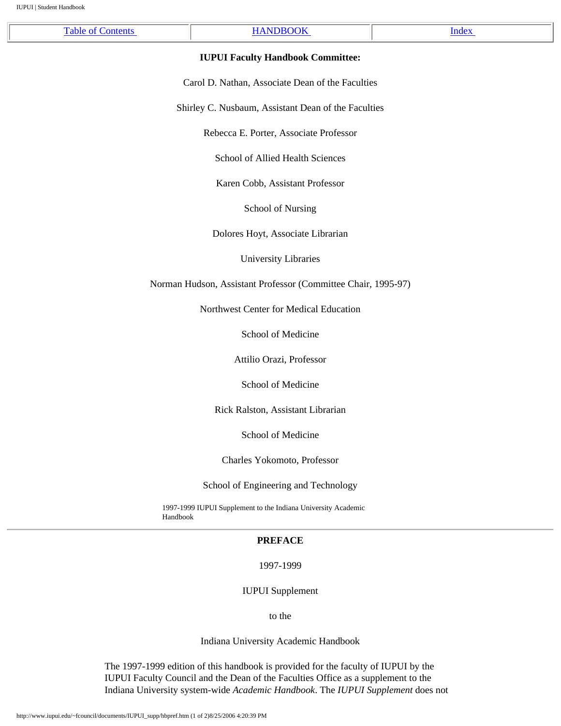<span id="page-12-0"></span>

| $\mathbf{r}$ | ---- | de <sup>x</sup><br>____ |
|--------------|------|-------------------------|
|              |      |                         |

#### **IUPUI Faculty Handbook Committee:**

Carol D. Nathan, Associate Dean of the Faculties

Shirley C. Nusbaum, Assistant Dean of the Faculties

Rebecca E. Porter, Associate Professor

School of Allied Health Sciences

Karen Cobb, Assistant Professor

School of Nursing

Dolores Hoyt, Associate Librarian

University Libraries

Norman Hudson, Assistant Professor (Committee Chair, 1995-97)

Northwest Center for Medical Education

School of Medicine

Attilio Orazi, Professor

School of Medicine

Rick Ralston, Assistant Librarian

School of Medicine

Charles Yokomoto, Professor

School of Engineering and Technology

1997-1999 IUPUI Supplement to the Indiana University Academic Handbook

#### **PREFACE**

1997-1999

IUPUI Supplement

to the

Indiana University Academic Handbook

The 1997-1999 edition of this handbook is provided for the faculty of IUPUI by the IUPUI Faculty Council and the Dean of the Faculties Office as a supplement to the Indiana University system-wide *Academic Handbook*. The *IUPUI Supplement* does not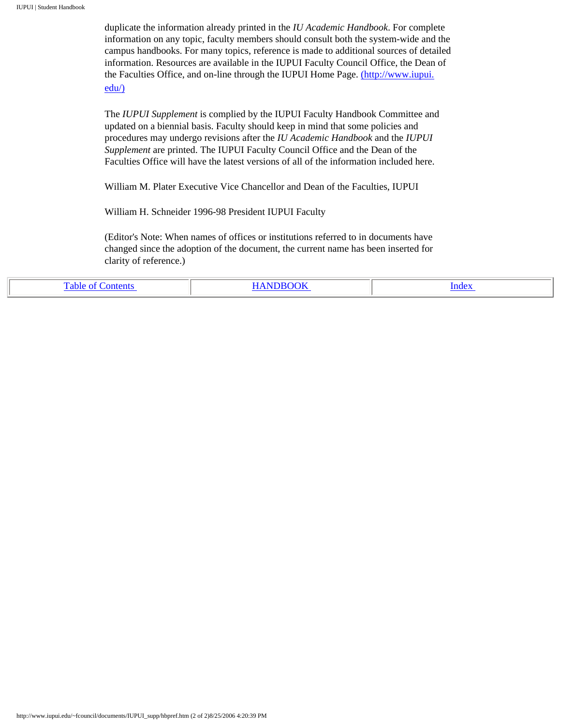duplicate the information already printed in the *IU Academic Handbook*. For complete information on any topic, faculty members should consult both the system-wide and the campus handbooks. For many topics, reference is made to additional sources of detailed information. Resources are available in the IUPUI Faculty Council Office, the Dean of the Faculties Office, and on-line through the IUPUI Home Page. [\(http://www.iupui.](http://www.iupui.edu/) [edu/\)](http://www.iupui.edu/)

The *IUPUI Supplement* is complied by the IUPUI Faculty Handbook Committee and updated on a biennial basis. Faculty should keep in mind that some policies and procedures may undergo revisions after the *IU Academic Handbook* and the *IUPUI Supplement* are printed. The IUPUI Faculty Council Office and the Dean of the Faculties Office will have the latest versions of all of the information included here.

William M. Plater Executive Vice Chancellor and Dean of the Faculties, IUPUI

William H. Schneider 1996-98 President IUPUI Faculty

(Editor's Note: When names of offices or institutions referred to in documents have changed since the adoption of the document, the current name has been inserted for clarity of reference.)

| ึ<br>пешь | UN<br>------- | ındex<br>_____ |
|-----------|---------------|----------------|
|-----------|---------------|----------------|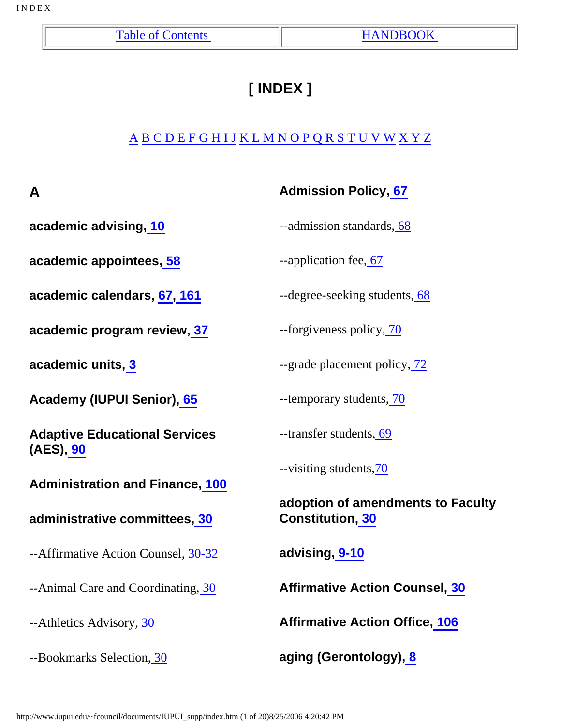# **[ INDEX ]**

# <span id="page-14-0"></span>[A](#page-14-1) [B](#page-16-0) [C](#page-16-1) [D](#page-19-0) [E](#page-17-0) [F](#page-18-0) [G](#page-22-0) [H](#page-20-0) [I](#page-21-0) [J](#page-24-0) [K L](#page-24-0) [M](#page-23-0) [N](#page-24-1) [O](#page-24-2) [P](#page-25-0) [Q](#page-14-0) [R](#page-29-0) [S](#page-28-0) [T](#page-30-0) [U](#page-32-0) [V](#page-33-0) [W](#page-33-1) [X](#page-33-1) [Y](#page-33-1) [Z](#page-33-1)

<span id="page-14-1"></span>

| A                                                 | <b>Admission Policy, 67</b>                                  |
|---------------------------------------------------|--------------------------------------------------------------|
| academic advising, 10                             | --admission standards, 68                                    |
| academic appointees, 58                           | --application fee, 67                                        |
| academic calendars, 67, 161                       | --degree-seeking students, 68                                |
| academic program review, 37                       | --forgiveness policy, 70                                     |
| academic units, 3                                 | --grade placement policy, 72                                 |
| <b>Academy (IUPUI Senior), 65</b>                 | --temporary students, 70                                     |
| <b>Adaptive Educational Services</b><br>(AES), 90 | --transfer students, 69                                      |
| <b>Administration and Finance, 100</b>            | --visiting students, 70                                      |
| administrative committees, 30                     | adoption of amendments to Faculty<br><b>Constitution, 30</b> |
| --Affirmative Action Counsel, 30-32               | advising, 9-10                                               |
| --Animal Care and Coordinating, 30                | <b>Affirmative Action Counsel, 30</b>                        |
| --Athletics Advisory, 30                          | <b>Affirmative Action Office, 106</b>                        |
| --Bookmarks Selection, 30                         | aging (Gerontology), 8                                       |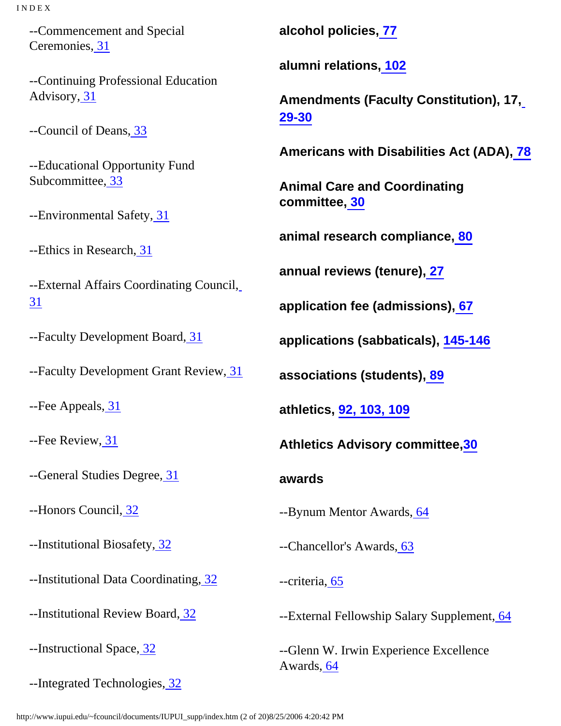--Commencement and Special Ceremonies[, 31](http://www.iupui.edu/~fcouncil/documents/IUPUI_supp/hb1.htm#31)

--Continuing Professional Education Advisory, [31](http://www.iupui.edu/~fcouncil/documents/IUPUI_supp/hb1.htm#31)

--Council of Deans, [33](http://www.iupui.edu/~fcouncil/documents/IUPUI_supp/hb1.htm#33)

--Educational Opportunity Fund Subcommittee[, 33](http://www.iupui.edu/~fcouncil/documents/IUPUI_supp/hb1.htm#33)

--Environmental Safety[, 31](http://www.iupui.edu/~fcouncil/documents/IUPUI_supp/hb1.htm#31)

--Ethics in Research[, 31](http://www.iupui.edu/~fcouncil/documents/IUPUI_supp/hb1.htm#31)

--External Affairs Coordinating Council, [31](http://www.iupui.edu/~fcouncil/documents/IUPUI_supp/hb1.htm#31)

--Faculty Development Board[, 31](http://www.iupui.edu/~fcouncil/documents/IUPUI_supp/hb1.htm#31)

--Faculty Development Grant Review[, 31](http://www.iupui.edu/~fcouncil/documents/IUPUI_supp/hb1.htm#31)

--Fee Appeals[, 31](http://www.iupui.edu/~fcouncil/documents/IUPUI_supp/hb1.htm#31)

--Fee Review[, 31](http://www.iupui.edu/~fcouncil/documents/IUPUI_supp/hb1.htm#31)

--General Studies Degree, [31](http://www.iupui.edu/~fcouncil/documents/IUPUI_supp/hb1.htm#31)

--Honors Council, [32](http://www.iupui.edu/~fcouncil/documents/IUPUI_supp/hb1.htm#32)

--Institutional Biosafety, [32](http://www.iupui.edu/~fcouncil/documents/IUPUI_supp/hb1.htm#32)

--Institutional Data Coordinating, [32](http://www.iupui.edu/~fcouncil/documents/IUPUI_supp/hb1.htm#32)

--Institutional Review Board[, 32](http://www.iupui.edu/~fcouncil/documents/IUPUI_supp/hb1.htm#32)

--Instructional Space, [32](http://www.iupui.edu/~fcouncil/documents/IUPUI_supp/hb1.htm#32)

--Integrated Technologies, [32](http://www.iupui.edu/~fcouncil/documents/IUPUI_supp/hb1.htm#32)

**alcohol policies, [77](http://www.iupui.edu/~fcouncil/documents/IUPUI_supp/hb3.htm#77)**

**alumni relations[, 102](http://www.iupui.edu/~fcouncil/documents/IUPUI_supp/hb5.htm#102)**

**Amendments (Faculty Constitution), 17, [29-30](http://www.iupui.edu/~fcouncil/documents/IUPUI_supp/hb.htm#29-30)**

**Americans with Disabilities Act (ADA)[, 78](http://www.iupui.edu/~fcouncil/documents/IUPUI_supp/hb3.htm#78)**

**Animal Care and Coordinating committee, [30](http://www.iupui.edu/~fcouncil/documents/IUPUI_supp/hb1.htm#30)**

**animal research compliance[, 80](http://www.iupui.edu/~fcouncil/documents/IUPUI_supp/hb.htm#80)**

**annual reviews (tenure)[, 27](http://www.iupui.edu/~fcouncil/documents/IUPUI_supp/appb.htm)**

**application fee (admissions)[, 67](http://www.iupui.edu/~fcouncil/documents/IUPUI_supp/hb3.htm#67)**

**applications (sabbaticals), [145-146](http://www.iupui.edu/~fcouncil/documents/IUPUI_supp/appc.htm)**

**associations (students)[, 89](http://www.iupui.edu/~fcouncil/documents/IUPUI_supp/hb3.htm#89)**

**athletics, [92,](http://www.iupui.edu/~fcouncil/documents/IUPUI_supp/hb5.htm#92) [103,](http://www.iupui.edu/~fcouncil/documents/IUPUI_supp/hb5.htm#103) [109](http://www.iupui.edu/~fcouncil/documents/IUPUI_supp/hb3.htm#109)**

**Athletics Advisory committee,[30](http://www.iupui.edu/~fcouncil/documents/IUPUI_supp/hb1.htm#30)**

**awards**

--Bynum Mentor Awards, [64](http://www.iupui.edu/~fcouncil/documents/IUPUI_supp/hb2.htm#64)

--Chancellor's Awards[, 63](http://www.iupui.edu/~fcouncil/documents/IUPUI_supp/hb2.htm#63)

--criteria[, 65](http://www.iupui.edu/~fcouncil/documents/IUPUI_supp/hb2.htm#65)

--External Fellowship Salary Supplement, [64](http://www.iupui.edu/~fcouncil/documents/IUPUI_supp/hb2.htm#64)

--Glenn W. Irwin Experience Excellence Awards[, 64](http://www.iupui.edu/~fcouncil/documents/IUPUI_supp/hb2.htm#64)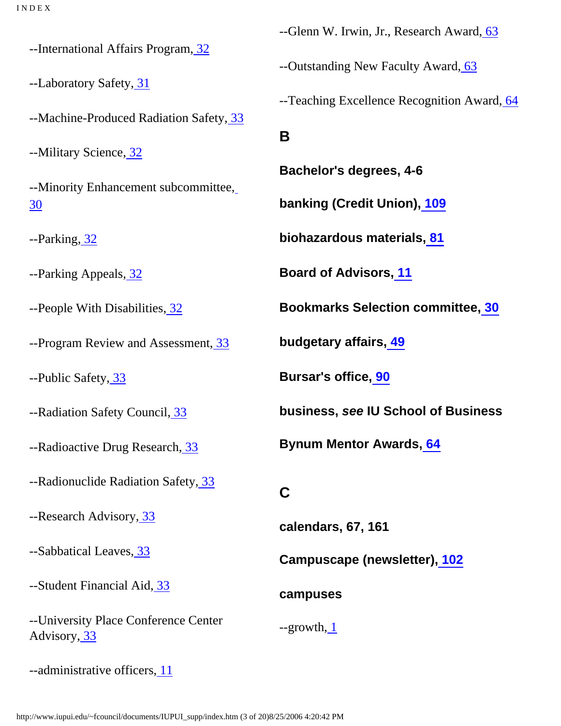--International Affairs Program[, 32](http://www.iupui.edu/~fcouncil/documents/IUPUI_supp/hb1.htm#32)

--Laboratory Safety[, 31](http://www.iupui.edu/~fcouncil/documents/IUPUI_supp/hb1.htm#31)

<span id="page-16-0"></span>--Machine-Produced Radiation Safety, [33](http://www.iupui.edu/~fcouncil/documents/IUPUI_supp/hb1.htm#33)

--Military Science, [32](http://www.iupui.edu/~fcouncil/documents/IUPUI_supp/hb1.htm#32)

--Minority Enhancement subcommittee, [30](http://www.iupui.edu/~fcouncil/documents/IUPUI_supp/hb1.htm#30)

--Parking[, 32](http://www.iupui.edu/~fcouncil/documents/IUPUI_supp/hb1.htm#32)

--Parking Appeals, [32](http://www.iupui.edu/~fcouncil/documents/IUPUI_supp/hb1.htm#32)

--People With Disabilities, [32](http://www.iupui.edu/~fcouncil/documents/IUPUI_supp/hb1.htm#32)

--Program Review and Assessment, [33](http://www.iupui.edu/~fcouncil/documents/IUPUI_supp/hb1.htm#33)

--Public Safety, [33](http://www.iupui.edu/~fcouncil/documents/IUPUI_supp/hb1.htm#33)

--Radiation Safety Council[, 33](http://www.iupui.edu/~fcouncil/documents/IUPUI_supp/hb1.htm#33)

--Radioactive Drug Research, [33](http://www.iupui.edu/~fcouncil/documents/IUPUI_supp/hb1.htm#33)

<span id="page-16-1"></span>--Radionuclide Radiation Safety, [33](http://www.iupui.edu/~fcouncil/documents/IUPUI_supp/hb1.htm#33)

--Research Advisory, [33](http://www.iupui.edu/~fcouncil/documents/IUPUI_supp/hb1.htm#33)

--Sabbatical Leaves[, 33](http://www.iupui.edu/~fcouncil/documents/IUPUI_supp/hb1.htm#33)

--Student Financial Aid, [33](http://www.iupui.edu/~fcouncil/documents/IUPUI_supp/hb1.htm#33)

--University Place Conference Center Advisory, [33](http://www.iupui.edu/~fcouncil/documents/IUPUI_supp/hb1.htm#33)

--Glenn W. Irwin, Jr., Research Award, [63](http://www.iupui.edu/~fcouncil/documents/IUPUI_supp/hb2.htm#63)

--Outstanding New Faculty Award[, 63](http://www.iupui.edu/~fcouncil/documents/IUPUI_supp/hb2.htm#63)

--Teaching Excellence Recognition Award[, 64](http://www.iupui.edu/~fcouncil/documents/IUPUI_supp/hb2.htm#64)

**B**

**Bachelor's degrees, 4-6**

**banking (Credit Union), [109](http://www.iupui.edu/~fcouncil/documents/IUPUI_supp/hb5.htm#109)**

**biohazardous materials[, 81](http://www.iupui.edu/~fcouncil/documents/IUPUI_supp/hb3.htm#81)**

**Board of Advisors[, 11](http://www.iupui.edu/~fcouncil/documents/IUPUI_supp/hb1.htm#11)**

**Bookmarks Selection committee[, 30](http://www.iupui.edu/~fcouncil/documents/IUPUI_supp/hb1.htm#30)**

**budgetary affairs[, 49](http://www.iupui.edu/~fcouncil/documents/IUPUI_supp/hb2.htm#49)**

**Bursar's office[, 90](http://www.iupui.edu/~fcouncil/documents/IUPUI_supp/hb4.htm#90)**

**business, see IU School of Business**

**Bynum Mentor Awards[, 64](http://www.iupui.edu/~fcouncil/documents/IUPUI_supp/hb2.htm#64)**

### **C**

**calendars, 67, 161**

**Campuscape (newsletter)[, 102](http://www.iupui.edu/~fcouncil/documents/IUPUI_supp/hb5.htm#102)**

#### **campuses**

--growth[, 1](http://www.iupui.edu/~fcouncil/documents/IUPUI_supp/hb1.htm#1)

--administrative officers[, 11](http://www.iupui.edu/~fcouncil/documents/IUPUI_supp/hb1.htm#11)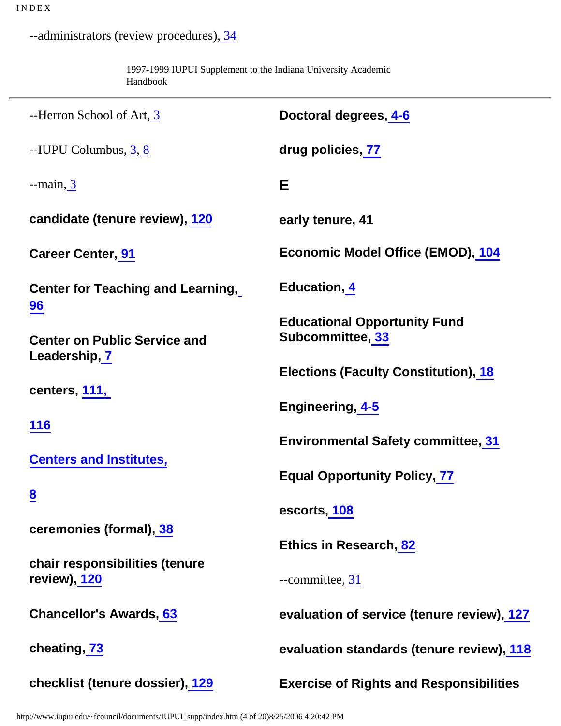--administrators (review procedures), [34](http://www.iupui.edu/~fcouncil/documents/IUPUI_supp/hb1.htm#34)

1997-1999 IUPUI Supplement to the Indiana University Academic Handbook

<span id="page-17-0"></span>

| --Herron School of Art, 3                             | Doctoral degrees, 4-6                                   |
|-------------------------------------------------------|---------------------------------------------------------|
| $-$ IUPU Columbus, $3, 8$                             | drug policies, 77                                       |
| $-$ main, $\overline{3}$                              | Е                                                       |
| candidate (tenure review), 120                        | early tenure, 41                                        |
| <b>Career Center, 91</b>                              | <b>Economic Model Office (EMOD), 104</b>                |
| <b>Center for Teaching and Learning,</b>              | <b>Education, 4</b>                                     |
| $\frac{96}{ }$<br><b>Center on Public Service and</b> | <b>Educational Opportunity Fund</b><br>Subcommittee, 33 |
| Leadership, 7                                         | <b>Elections (Faculty Constitution), 18</b>             |
| centers, 111,                                         | Engineering, 4-5                                        |
| <b>116</b>                                            | <b>Environmental Safety committee, 31</b>               |
| <b>Centers and Institutes,</b>                        | <b>Equal Opportunity Policy, 77</b>                     |
| $\overline{8}$                                        | escorts, 108                                            |
| ceremonies (formal), 38                               | Ethics in Research, 82                                  |
| chair responsibilities (tenure<br>review), 120        | $--$ committee, $31$                                    |
| <b>Chancellor's Awards, 63</b>                        | evaluation of service (tenure review), 127              |
| cheating, 73                                          | evaluation standards (tenure review), 118               |
| checklist (tenure dossier), 129                       | <b>Exercise of Rights and Responsibilities</b>          |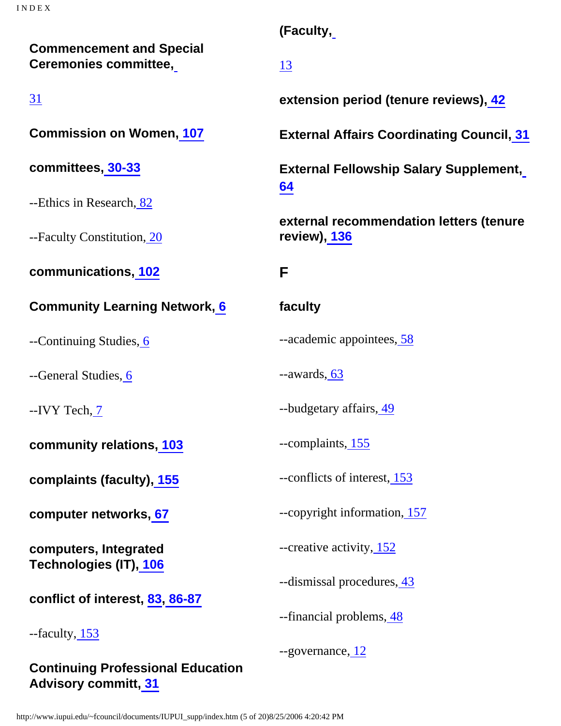**Commencement and Special Ceremonies committee,**

[31](http://www.iupui.edu/~fcouncil/documents/IUPUI_supp/hb1.htm#31)

**Commission on Women[, 107](http://www.iupui.edu/~fcouncil/documents/IUPUI_supp/hb5.htm#107)**

**committees, [30-33](http://www.iupui.edu/~fcouncil/documents/IUPUI_supp/hb1.htm#30)**

--Ethics in Research[, 82](http://www.iupui.edu/~fcouncil/documents/IUPUI_supp/hb3.htm#82)

--Faculty Constitution, [20](http://www.iupui.edu/~fcouncil/documents/IUPUI_supp/hb1.htm#20)

<span id="page-18-0"></span>**communications[, 102](http://www.iupui.edu/~fcouncil/documents/IUPUI_supp/hb5.htm#102)**

**Community Learning Network[, 6](http://www.iupui.edu/~fcouncil/documents/IUPUI_supp/hb1.htm#6)**

--Continuing Studies, [6](http://www.iupui.edu/~fcouncil/documents/IUPUI_supp/hb1.htm#6)

--General Studies, [6](http://www.iupui.edu/~fcouncil/documents/IUPUI_supp/hb1.htm#6)

--IVY Tech[, 7](http://www.iupui.edu/~fcouncil/documents/IUPUI_supp/hb1.htm#7)

**community relations, [103](http://www.iupui.edu/~fcouncil/documents/IUPUI_supp/hb5.htm#103)**

**complaints (faculty)[, 155](http://www.iupui.edu/~fcouncil/documents/IUPUI_supp/appd.htm)**

**computer networks[, 67](http://www.iupui.edu/~fcouncil/documents/IUPUI_supp/hb3.htm#67)**

**computers, Integrated Technologies (IT), [106](http://www.iupui.edu/~fcouncil/documents/IUPUI_supp/hb5.htm#106)**

**conflict of interest, [83,](http://www.iupui.edu/~fcouncil/documents/IUPUI_supp/hb3.htm#83) [86-87](http://www.iupui.edu/~fcouncil/documents/IUPUI_supp/hb3.htm#86)**

--faculty, [153](http://www.iupui.edu/~fcouncil/documents/IUPUI_supp/appd.htm)

**Continuing Professional Education Advisory committ[, 31](http://www.iupui.edu/~fcouncil/documents/IUPUI_supp/hb1.htm#31)**

**(Faculty,**

[13](http://www.iupui.edu/~fcouncil/documents/IUPUI_supp/hb1.htm#13)

**extension period (tenure reviews)[, 42](http://www.iupui.edu/~fcouncil/documents/IUPUI_supp/hb2.htm#42)**

**External Affairs Coordinating Council, [31](http://www.iupui.edu/~fcouncil/documents/IUPUI_supp/hb1.htm#31)**

**External Fellowship Salary Supplement, [64](http://www.iupui.edu/~fcouncil/documents/IUPUI_supp/hb2.htm#64)**

**external recommendation letters (tenure review)[, 136](http://www.iupui.edu/~fcouncil/documents/IUPUI_supp/appb.htm)**

# **F**

### **faculty**

--academic appointees[, 58](http://www.iupui.edu/~fcouncil/documents/IUPUI_supp/hb2.htm#58)

--awards[, 63](http://www.iupui.edu/~fcouncil/documents/IUPUI_supp/hb2.htm#63)

--budgetary affairs[, 49](http://www.iupui.edu/~fcouncil/documents/IUPUI_supp/hb2.htm#49)

--complaints[, 155](http://www.iupui.edu/~fcouncil/documents/IUPUI_supp/appd.htm)

--conflicts of interest, [153](http://www.iupui.edu/~fcouncil/documents/IUPUI_supp/appd.htm)

--copyright information[, 157](http://www.iupui.edu/~fcouncil/documents/IUPUI_supp/appe.htm)

--creative activity, [152](http://www.iupui.edu/~fcouncil/documents/IUPUI_supp/appd.htm)

--dismissal procedures, [43](http://www.iupui.edu/~fcouncil/documents/IUPUI_supp/hb2.htm#43)

--financial problems[, 48](http://www.iupui.edu/~fcouncil/documents/IUPUI_supp/hb2.htm#48)

--governance[, 12](http://www.iupui.edu/~fcouncil/documents/IUPUI_supp/hb1.htm#12)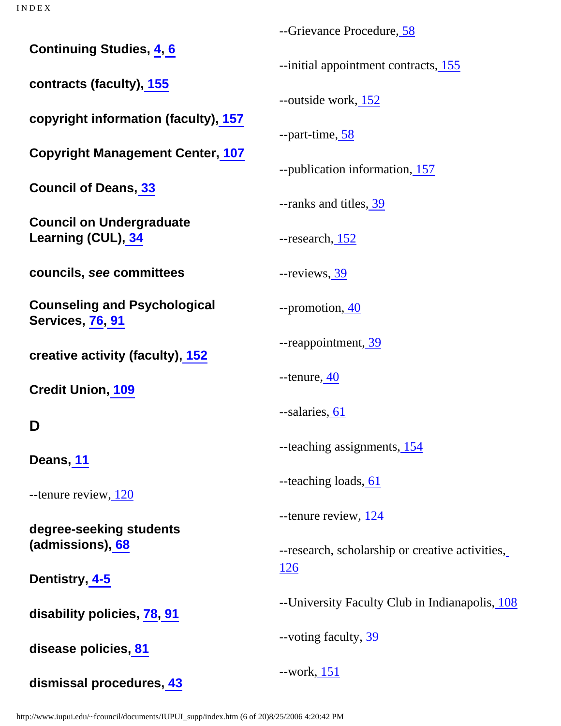**Continuing Studies, [4,](http://www.iupui.edu/~fcouncil/documents/IUPUI_supp/hb1.htm#4) [6](http://www.iupui.edu/~fcouncil/documents/IUPUI_supp/hb1.htm#6)**

**contracts (faculty)[, 155](http://www.iupui.edu/~fcouncil/documents/IUPUI_supp/appd.htm)**

**copyright information (faculty), [157](http://www.iupui.edu/~fcouncil/documents/IUPUI_supp/appe.htm)**

**Copyright Management Center, [107](http://www.iupui.edu/~fcouncil/documents/IUPUI_supp/hb5.htm#107)**

**Council of Deans[, 33](http://www.iupui.edu/~fcouncil/documents/IUPUI_supp/hb1.htm#33)**

**Council on Undergraduate Learning (CUL), [34](http://www.iupui.edu/~fcouncil/documents/IUPUI_supp/hb1.htm#34)**

**councils, see committees**

**Counseling and Psychological Services, [76,](http://www.iupui.edu/~fcouncil/documents/IUPUI_supp/hb3.htm#76) [91](http://www.iupui.edu/~fcouncil/documents/IUPUI_supp/hb4.htm#91)**

**creative activity (faculty)[, 152](http://www.iupui.edu/~fcouncil/documents/IUPUI_supp/appd.htm)**

**Credit Union, [109](http://www.iupui.edu/~fcouncil/documents/IUPUI_supp/hb5.htm#109)**

# <span id="page-19-0"></span>**D**

**Deans, [11](http://www.iupui.edu/~fcouncil/documents/IUPUI_supp/hb1.htm#11)**

--tenure review[, 120](http://www.iupui.edu/~fcouncil/documents/IUPUI_supp/appb.htm)

**degree-seeking students (admissions)[, 68](http://www.iupui.edu/~fcouncil/documents/IUPUI_supp/hb3.htm#68)**

**Dentistry, [4-5](http://www.iupui.edu/~fcouncil/documents/IUPUI_supp/hb1.htm#4)**

**disability policies, [78](http://www.iupui.edu/~fcouncil/documents/IUPUI_supp/hb3.htm#78), [91](http://www.iupui.edu/~fcouncil/documents/IUPUI_supp/hb4.htm#91)**

**disease policies[, 81](http://www.iupui.edu/~fcouncil/documents/IUPUI_supp/hb3.htm#81)**

**dismissal procedures, [43](http://www.iupui.edu/~fcouncil/documents/IUPUI_supp/hb2.htm#43)**

--Grievance Procedure, [58](http://www.iupui.edu/~fcouncil/documents/IUPUI_supp/hb2.htm#58)

--initial appointment contracts[, 155](http://www.iupui.edu/~fcouncil/documents/IUPUI_supp/appd.htm)

--outside work, [152](http://www.iupui.edu/~fcouncil/documents/IUPUI_supp/appd.htm)

--part-time[, 58](http://www.iupui.edu/~fcouncil/documents/IUPUI_supp/hb2.htm#58)

--publication information[, 157](http://www.iupui.edu/~fcouncil/documents/IUPUI_supp/appe.htm)

--ranks and titles, [39](http://www.iupui.edu/~fcouncil/documents/IUPUI_supp/hb.htm#39)

--research[, 152](http://www.iupui.edu/~fcouncil/documents/IUPUI_supp/appd.htm)

--reviews[, 39](http://www.iupui.edu/~fcouncil/documents/IUPUI_supp/hb.htm#39)

--promotion[, 40](http://www.iupui.edu/~fcouncil/documents/IUPUI_supp/hb2.htm#40)

--reappointment, [39](http://www.iupui.edu/~fcouncil/documents/IUPUI_supp/hb.htm#39)

 $-$ tenure,  $40$ 

--salaries, [61](http://www.iupui.edu/~fcouncil/documents/IUPUI_supp/hb2.htm#61)

--teaching assignments[, 154](http://www.iupui.edu/~fcouncil/documents/IUPUI_supp/appd.htm)

--teaching loads[, 61](http://www.iupui.edu/~fcouncil/documents/IUPUI_supp/hb2.htm#61)

--tenure review[, 124](http://www.iupui.edu/~fcouncil/documents/IUPUI_supp/appb.htm)

--research, scholarship or creative activities, [126](http://www.iupui.edu/~fcouncil/documents/IUPUI_supp/appb.htm)

--University Faculty Club in Indianapolis[, 108](http://www.iupui.edu/~fcouncil/documents/IUPUI_supp/hb5.htm#108)

--voting faculty, [39](http://www.iupui.edu/~fcouncil/documents/IUPUI_supp/hb.htm#39)

--work, [151](http://www.iupui.edu/~fcouncil/documents/IUPUI_supp/appd.htm)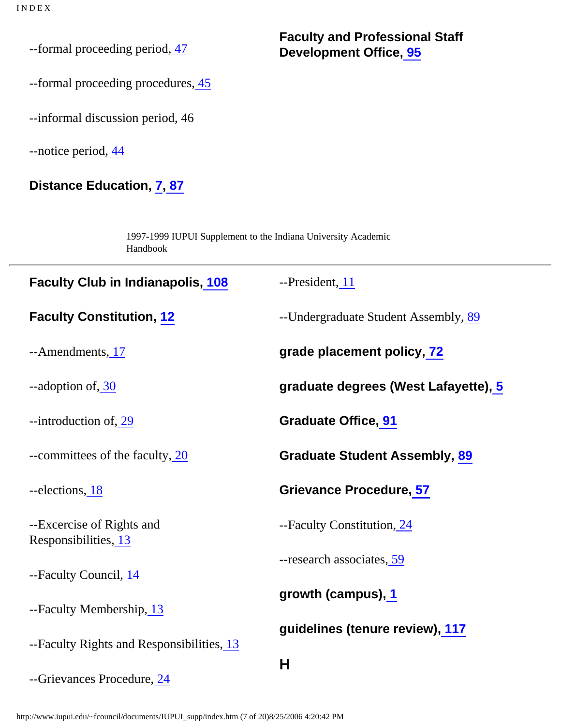--formal proceeding period[, 47](http://www.iupui.edu/~fcouncil/documents/IUPUI_supp/hb2.htm#47)

--formal proceeding procedures,  $\frac{45}{3}$ 

--informal discussion period, 46

--notice period[, 44](http://www.iupui.edu/~fcouncil/documents/IUPUI_supp/hb2.htm#44)

# **Distance Education, [7](http://www.iupui.edu/~fcouncil/documents/IUPUI_supp/hb1.htm#7)[, 87](http://www.iupui.edu/~fcouncil/documents/IUPUI_supp/hb3.htm#87)**

1997-1999 IUPUI Supplement to the Indiana University Academic Handbook

| <b>Faculty Club in Indianapolis, 108</b>          | --President, 11                      |
|---------------------------------------------------|--------------------------------------|
| <b>Faculty Constitution, 12</b>                   | --Undergraduate Student Assembly, 89 |
| --Amendments, 17                                  | grade placement policy, 72           |
| --adoption of, 30                                 | graduate degrees (West Lafayette), 5 |
| --introduction of, 29                             | <b>Graduate Office, 91</b>           |
| --committees of the faculty, 20                   | <b>Graduate Student Assembly, 89</b> |
| --elections, 18                                   | <b>Grievance Procedure, 57</b>       |
| --Excercise of Rights and<br>Responsibilities, 13 | --Faculty Constitution, 24           |
| --Faculty Council, 14                             | --research associates, 59            |
| --Faculty Membership, 13                          | growth (campus), 1                   |
| --Faculty Rights and Responsibilities, 13         | guidelines (tenure review), 117      |
| --Grievances Procedure, 24                        | H                                    |

<span id="page-20-0"></span>http://www.iupui.edu/~fcouncil/documents/IUPUI\_supp/index.htm (7 of 20)8/25/2006 4:20:42 PM

**Faculty and Professional Staff Development Office[, 95](http://www.iupui.edu/~fcouncil/documents/IUPUI_supp/hb5.htm#95)**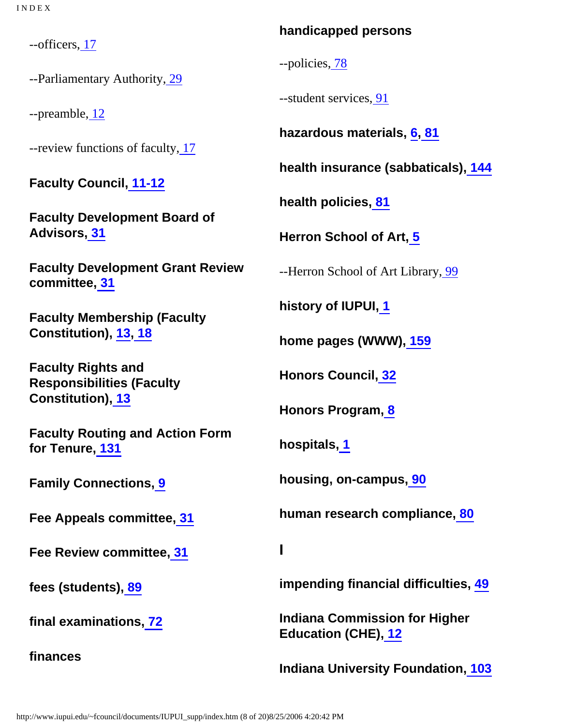--officers, [17](http://www.iupui.edu/~fcouncil/documents/IUPUI_supp/hb1.htm#17)

--Parliamentary Authority[, 29](http://www.iupui.edu/~fcouncil/documents/IUPUI_supp/hb1.htm#29)

--preamble, [12](http://www.iupui.edu/~fcouncil/documents/IUPUI_supp/hb1.htm#12)

--review functions of faculty[, 17](http://www.iupui.edu/~fcouncil/documents/IUPUI_supp/hb1.htm#17)

**Faculty Council[, 11-12](http://www.iupui.edu/~fcouncil/documents/IUPUI_supp/hb1.htm#11)**

**Faculty Development Board of Advisors, [31](http://www.iupui.edu/~fcouncil/documents/IUPUI_supp/hb1.htm#31)**

**Faculty Development Grant Review committee, [31](http://www.iupui.edu/~fcouncil/documents/IUPUI_supp/hb1.htm#31)**

**Faculty Membership (Faculty Constitution), [13](http://www.iupui.edu/~fcouncil/documents/IUPUI_supp/hb1.htm#13)[, 18](http://www.iupui.edu/~fcouncil/documents/IUPUI_supp/hb1.htm#18)**

**Faculty Rights and Responsibilities (Faculty Constitution), [13](http://www.iupui.edu/~fcouncil/documents/IUPUI_supp/hb1.htm#13)**

**Faculty Routing and Action Form for Tenure[, 131](http://www.iupui.edu/~fcouncil/documents/IUPUI_supp/appb.htm)**

**Family Connections, [9](http://www.iupui.edu/~fcouncil/documents/IUPUI_supp/hb1.htm#9)**

**Fee Appeals committee[, 31](http://www.iupui.edu/~fcouncil/documents/IUPUI_supp/hb1.htm#31)**

<span id="page-21-0"></span>**Fee Review committee[, 31](http://www.iupui.edu/~fcouncil/documents/IUPUI_supp/hb1.htm#31)**

**fees (students)[, 89](http://www.iupui.edu/~fcouncil/documents/IUPUI_supp/hb3.htm#89)**

**final examinations[, 72](http://www.iupui.edu/~fcouncil/documents/IUPUI_supp/hb3.htm#72)**

**finances**

## **handicapped persons**

--policies[, 78](http://www.iupui.edu/~fcouncil/documents/IUPUI_supp/hb3.htm#78)

--student services, [91](http://www.iupui.edu/~fcouncil/documents/IUPUI_supp/hb4.htm#91)

**hazardous materials, [6,](http://www.iupui.edu/~fcouncil/documents/IUPUI_supp/hb1.htm#6) [81](http://www.iupui.edu/~fcouncil/documents/IUPUI_supp/hb3.htm#81)**

**health insurance (sabbaticals), [144](http://www.iupui.edu/~fcouncil/documents/IUPUI_supp/appc.htm)**

**health policies[, 81](http://www.iupui.edu/~fcouncil/documents/IUPUI_supp/hb3.htm#81)**

**Herron School of Art, [5](http://www.iupui.edu/~fcouncil/documents/IUPUI_supp/hb1.htm#5)**

--Herron School of Art Library, [99](http://www.iupui.edu/~fcouncil/documents/IUPUI_supp/hb5.htm#99)

**history of IUPUI, [1](http://www.iupui.edu/~fcouncil/documents/IUPUI_supp/hb1.htm#1)**

**home pages (WWW)[, 159](http://www.iupui.edu/~fcouncil/documents/IUPUI_supp/appf.htm)**

**Honors Council[, 32](http://www.iupui.edu/~fcouncil/documents/IUPUI_supp/hb1.htm#32)**

**Honors Program[, 8](http://www.iupui.edu/~fcouncil/documents/IUPUI_supp/hb1.htm#8)**

**hospitals[, 1](http://www.iupui.edu/~fcouncil/documents/IUPUI_supp/hb1.htm#1)**

**housing, on-campus, [90](http://www.iupui.edu/~fcouncil/documents/IUPUI_supp/hb4.htm#90)**

**human research compliance, [80](http://www.iupui.edu/~fcouncil/documents/IUPUI_supp/hb3.htm#80)**

**I**

**impending financial difficulties, [49](http://www.iupui.edu/~fcouncil/documents/IUPUI_supp/hb2.htm#49)**

**Indiana Commission for Higher Education (CHE)[, 12](http://www.iupui.edu/~fcouncil/documents/IUPUI_supp/hb1.htm#12)**

**Indiana University Foundation, [103](http://www.iupui.edu/~fcouncil/documents/IUPUI_supp/hb5.htm#103)**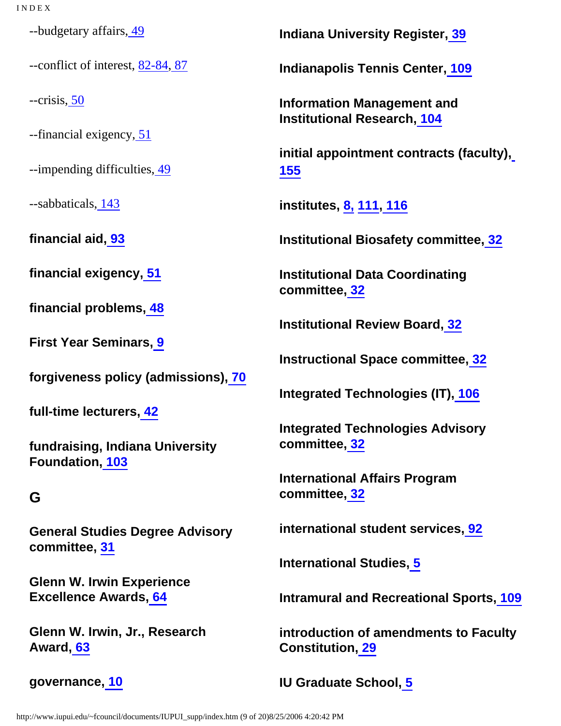--budgetary affairs[, 49](http://www.iupui.edu/~fcouncil/documents/IUPUI_supp/hb2.htm#49)

--conflict of interest, [82-84,](http://www.iupui.edu/~fcouncil/documents/IUPUI_supp/hb3.htm#82) [87](http://www.iupui.edu/~fcouncil/documents/IUPUI_supp/hb3.htm#87)

--crisis[, 50](http://www.iupui.edu/~fcouncil/documents/IUPUI_supp/hb2.htm#50)

--financial exigency, [51](http://www.iupui.edu/~fcouncil/documents/IUPUI_supp/hb2.htm#51)

--impending difficulties, [49](http://www.iupui.edu/~fcouncil/documents/IUPUI_supp/hb2.htm#49)

--sabbaticals[, 143](http://www.iupui.edu/~fcouncil/documents/IUPUI_supp/appc.htm)

**financial aid, [93](http://www.iupui.edu/~fcouncil/documents/IUPUI_supp/hb4.htm#93)**

**financial exigency, [51](http://www.iupui.edu/~fcouncil/documents/IUPUI_supp/hb2.htm#51)**

**financial problems, [48](http://www.iupui.edu/~fcouncil/documents/IUPUI_supp/hb2.htm#48)**

**First Year Seminars[, 9](http://www.iupui.edu/~fcouncil/documents/IUPUI_supp/hb1.htm#9)**

**forgiveness policy (admissions)[, 70](http://www.iupui.edu/~fcouncil/documents/IUPUI_supp/hb3.htm#70)**

**full-time lecturers[, 42](http://www.iupui.edu/~fcouncil/documents/IUPUI_supp/hb2.htm#42)**

**fundraising, Indiana University Foundation[, 103](http://www.iupui.edu/~fcouncil/documents/IUPUI_supp/hb5.htm#103)**

# <span id="page-22-0"></span>**G**

**General Studies Degree Advisory committee, [31](http://www.iupui.edu/~fcouncil/documents/IUPUI_supp/hb1.htm#31)**

**Glenn W. Irwin Experience Excellence Awards, [64](http://www.iupui.edu/~fcouncil/documents/IUPUI_supp/hb2.htm#64)**

**Glenn W. Irwin, Jr., Research Award, [63](http://www.iupui.edu/~fcouncil/documents/IUPUI_supp/hb2.htm#63)**

**governance[, 10](http://www.iupui.edu/~fcouncil/documents/IUPUI_supp/hb1.htm#10)**

**Indiana University Register[, 39](http://www.iupui.edu/~fcouncil/documents/IUPUI_supp/hb.htm#39)**

**Indianapolis Tennis Center, [109](http://www.iupui.edu/~fcouncil/documents/IUPUI_supp/hb5.htm#109)**

**Information Management and Institutional Research[, 104](http://www.iupui.edu/~fcouncil/documents/IUPUI_supp/hb5.htm#104)**

**initial appointment contracts (faculty), [155](http://www.iupui.edu/~fcouncil/documents/IUPUI_supp/appd.htm)**

**institutes, [8,](http://www.iupui.edu/~fcouncil/documents/IUPUI_supp/hb1.htm) [111, 116](http://www.iupui.edu/~fcouncil/documents/IUPUI_supp/appa.htm)**

**Institutional Biosafety committee[, 32](http://www.iupui.edu/~fcouncil/documents/IUPUI_supp/hb1.htm#32)**

**Institutional Data Coordinating committee, [32](http://www.iupui.edu/~fcouncil/documents/IUPUI_supp/hb1.htm#32)**

**Institutional Review Board, [32](http://www.iupui.edu/~fcouncil/documents/IUPUI_supp/hb1.htm#32)**

**Instructional Space committee, [32](http://www.iupui.edu/~fcouncil/documents/IUPUI_supp/hb1.htm#32)**

**Integrated Technologies (IT)[, 106](http://www.iupui.edu/~fcouncil/documents/IUPUI_supp/hb5.htm#106)**

**Integrated Technologies Advisory committee, [32](http://www.iupui.edu/~fcouncil/documents/IUPUI_supp/hb1.htm#32)**

**International Affairs Program committee, [32](http://www.iupui.edu/~fcouncil/documents/IUPUI_supp/hb1.htm#32)**

**international student services[, 92](http://www.iupui.edu/~fcouncil/documents/IUPUI_supp/hb4.htm#92)**

**International Studies[, 5](http://www.iupui.edu/~fcouncil/documents/IUPUI_supp/hb1.htm#5)**

**Intramural and Recreational Sports[, 109](http://www.iupui.edu/~fcouncil/documents/IUPUI_supp/hb5.htm#109)**

**introduction of amendments to Faculty Constitution[, 29](http://www.iupui.edu/~fcouncil/documents/IUPUI_supp/hb1.htm#29)**

**IU Graduate School, [5](http://www.iupui.edu/~fcouncil/documents/IUPUI_supp/hb1.htm#5)**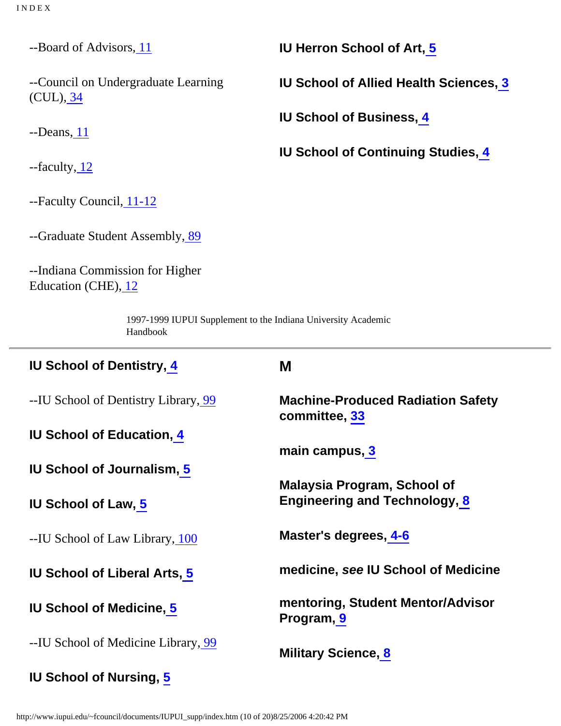--Board of Advisors[, 11](http://www.iupui.edu/~fcouncil/documents/IUPUI_supp/hb1.htm#11) --Council on Undergraduate Learning (CUL), [34](http://www.iupui.edu/~fcouncil/documents/IUPUI_supp/hb1.htm#34) --Deans, [11](http://www.iupui.edu/~fcouncil/documents/IUPUI_supp/hb1.htm#11) --faculty, [12](http://www.iupui.edu/~fcouncil/documents/IUPUI_supp/hb1.htm#12) --Faculty Council, [11-12](http://www.iupui.edu/~fcouncil/documents/IUPUI_supp/hb1.htm#11) --Graduate Student Assembly, [89](http://www.iupui.edu/~fcouncil/documents/IUPUI_supp/hb3.htm#89) --Indiana Commission for Higher Education (CHE)[, 12](http://www.iupui.edu/~fcouncil/documents/IUPUI_supp/hb1.htm#12) **IU Herron School of Art[, 5](http://www.iupui.edu/~fcouncil/documents/IUPUI_supp/hb1.htm#5) IU School of Allied Health Sciences, [3](http://www.iupui.edu/~fcouncil/documents/IUPUI_supp/hb1.htm#3) IU School of Business, [4](http://www.iupui.edu/~fcouncil/documents/IUPUI_supp/hb1.htm#4) IU School of Continuing Studies, [4](http://www.iupui.edu/~fcouncil/documents/IUPUI_supp/hb1.htm#4)** 1997-1999 IUPUI Supplement to the Indiana University Academic Handbook

<span id="page-23-0"></span>

| <b>IU School of Dentistry, 4</b>     | M                                                                          |
|--------------------------------------|----------------------------------------------------------------------------|
| --IU School of Dentistry Library, 99 | <b>Machine-Produced Radiation Safety</b><br>committee, 33                  |
| <b>IU School of Education, 4</b>     |                                                                            |
| <b>IU School of Journalism, 5</b>    | main campus, 3                                                             |
|                                      | <b>Malaysia Program, School of</b><br><b>Engineering and Technology, 8</b> |
| <b>IU School of Law, 5</b>           |                                                                            |
| --IU School of Law Library, 100      | Master's degrees, 4-6                                                      |
| <b>IU School of Liberal Arts, 5</b>  | medicine, see IU School of Medicine                                        |
| <b>IU School of Medicine, 5</b>      | mentoring, Student Mentor/Advisor<br>Program, 9                            |
| --IU School of Medicine Library, 99  | <b>Military Science, 8</b>                                                 |
| <b>IU School of Nursing, 5</b>       |                                                                            |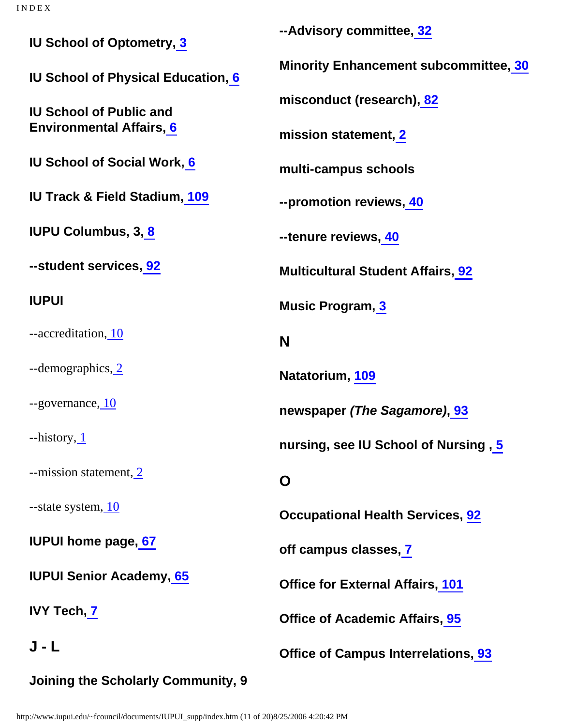<span id="page-24-2"></span><span id="page-24-1"></span><span id="page-24-0"></span>

| <b>IU School of Optometry, 3</b>          | --Advisory committee, 32                     |
|-------------------------------------------|----------------------------------------------|
| <b>IU School of Physical Education, 6</b> | <b>Minority Enhancement subcommittee, 30</b> |
| <b>IU School of Public and</b>            | misconduct (research), 82                    |
| <b>Environmental Affairs, 6</b>           | mission statement, 2                         |
| <b>IU School of Social Work, 6</b>        | multi-campus schools                         |
| <b>IU Track &amp; Field Stadium, 109</b>  | --promotion reviews, 40                      |
| <b>IUPU Columbus, 3, 8</b>                | --tenure reviews, 40                         |
| --student services, 92                    | <b>Multicultural Student Affairs, 92</b>     |
| <b>IUPUI</b>                              | <b>Music Program, 3</b>                      |
| --accreditation, 10                       | N                                            |
| --demographics, 2                         | Natatorium, 109                              |
| --governance, 10                          | newspaper (The Sagamore), 93                 |
| $-$ history, $1$                          | nursing, see IU School of Nursing, 5         |
| --mission statement, 2                    | O                                            |
| --state system, 10                        | <b>Occupational Health Services, 92</b>      |
| <b>IUPUI home page, 67</b>                | off campus classes, 7                        |
| <b>IUPUI Senior Academy, 65</b>           | <b>Office for External Affairs, 101</b>      |
| <b>IVY Tech, 7</b>                        | <b>Office of Academic Affairs, 95</b>        |
| J - L                                     | <b>Office of Campus Interrelations, 93</b>   |
| Joining the Scholarly Community, 9        |                                              |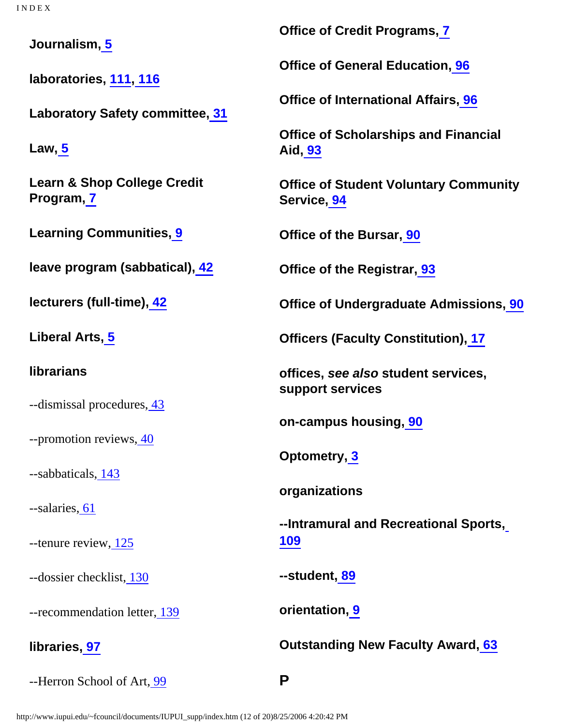**Journalism, [5](http://www.iupui.edu/~fcouncil/documents/IUPUI_supp/hb1.htm#5)**

**laboratories, [111, 116](http://www.iupui.edu/~fcouncil/documents/IUPUI_supp/appa.htm)**

**Laboratory Safety committee, [31](http://www.iupui.edu/~fcouncil/documents/IUPUI_supp/hb1.htm#31)**

**Law[, 5](http://www.iupui.edu/~fcouncil/documents/IUPUI_supp/hb1.htm#5)**

**Learn & Shop College Credit Program[, 7](http://www.iupui.edu/~fcouncil/documents/IUPUI_supp/hb1.htm#7)**

**Learning Communities, [9](http://www.iupui.edu/~fcouncil/documents/IUPUI_supp/hb1.htm#9)**

**leave program (sabbatical)[, 42](http://www.iupui.edu/~fcouncil/documents/IUPUI_supp/hb2.htm#42)**

**lecturers (full-time), [42](http://www.iupui.edu/~fcouncil/documents/IUPUI_supp/hb2.htm#42)**

**Liberal Arts, [5](http://www.iupui.edu/~fcouncil/documents/IUPUI_supp/hb1.htm#5)**

**librarians**

--dismissal procedures, [43](http://www.iupui.edu/~fcouncil/documents/IUPUI_supp/hb2.htm#43)

--promotion reviews[, 40](http://www.iupui.edu/~fcouncil/documents/IUPUI_supp/hb2.htm#40)

--sabbaticals[, 143](http://www.iupui.edu/~fcouncil/documents/IUPUI_supp/appc.htm)

--salaries, [61](http://www.iupui.edu/~fcouncil/documents/IUPUI_supp/hb2.htm#61)

--tenure review[, 125](http://www.iupui.edu/~fcouncil/documents/IUPUI_supp/appb.htm)

--dossier checklist, [130](http://www.iupui.edu/~fcouncil/documents/IUPUI_supp/appb.htm)

--recommendation letter[, 139](http://www.iupui.edu/~fcouncil/documents/IUPUI_supp/appb.htm)

**libraries[, 97](http://www.iupui.edu/~fcouncil/documents/IUPUI_supp/hb5.htm#97)**

<span id="page-25-0"></span>--Herron School of Art[, 99](http://www.iupui.edu/~fcouncil/documents/IUPUI_supp/hb5.htm#99)

**Office of Credit Programs[, 7](http://www.iupui.edu/~fcouncil/documents/IUPUI_supp/hb1.htm#7)**

**Office of General Education[, 96](http://www.iupui.edu/~fcouncil/documents/IUPUI_supp/hb5.htm#96)**

**Office of International Affairs, [96](http://www.iupui.edu/~fcouncil/documents/IUPUI_supp/hb5.htm#96)**

**Office of Scholarships and Financial Aid[, 93](http://www.iupui.edu/~fcouncil/documents/IUPUI_supp/hb4.htm#93)**

**Office of Student Voluntary Community Service, [94](http://www.iupui.edu/~fcouncil/documents/IUPUI_supp/hb4.htm#94)**

**Office of the Bursar, [90](http://www.iupui.edu/~fcouncil/documents/IUPUI_supp/hb4.htm#90)**

**Office of the Registrar, [93](http://www.iupui.edu/~fcouncil/documents/IUPUI_supp/hb4.htm#93)**

**Office of Undergraduate Admissions[, 90](http://www.iupui.edu/~fcouncil/documents/IUPUI_supp/hb4.htm#90)**

**Officers (Faculty Constitution)[, 17](http://www.iupui.edu/~fcouncil/documents/IUPUI_supp/hb1.htm#17)**

**offices, see also student services, support services**

**on-campus housing, [90](http://www.iupui.edu/~fcouncil/documents/IUPUI_supp/hb4.htm#90)**

**Optometry, [3](http://www.iupui.edu/~fcouncil/documents/IUPUI_supp/hb1.htm#3)**

**organizations**

**--Intramural and Recreational Sports, [109](http://www.iupui.edu/~fcouncil/documents/IUPUI_supp/hb5.htm#109)**

**--student, [89](http://www.iupui.edu/~fcouncil/documents/IUPUI_supp/hb3.htm#89)**

**orientation[, 9](http://www.iupui.edu/~fcouncil/documents/IUPUI_supp/hb1.htm#9)**

**Outstanding New Faculty Award, [63](http://www.iupui.edu/~fcouncil/documents/IUPUI_supp/hb2.htm#63)**

**P**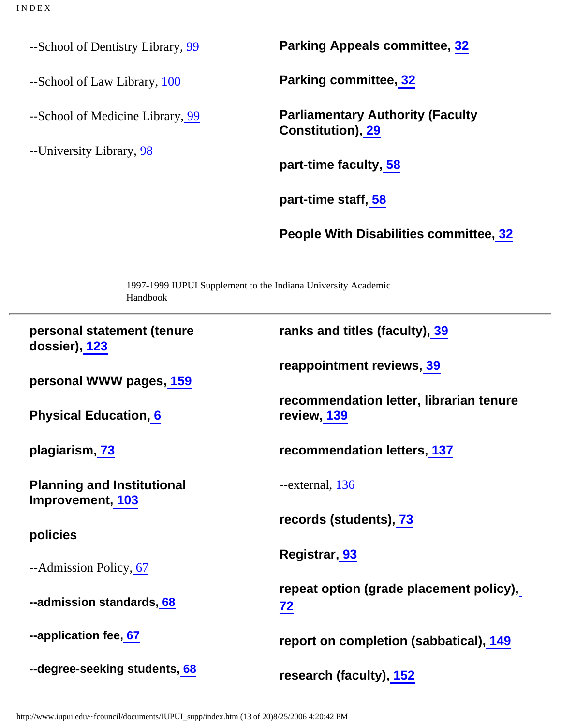--School of Dentistry Library, [99](http://www.iupui.edu/~fcouncil/documents/IUPUI_supp/hb5.htm#99)

--School of Law Library, [100](http://www.iupui.edu/~fcouncil/documents/IUPUI_supp/hb5.htm#100)

--School of Medicine Library, [99](http://www.iupui.edu/~fcouncil/documents/IUPUI_supp/hb5.htm#99)

--University Library[, 98](http://www.iupui.edu/~fcouncil/documents/IUPUI_supp/hb5.htm#98)

**Parking Appeals committee, [32](http://www.iupui.edu/~fcouncil/documents/IUPUI_supp/hb1.htm#32)**

**Parking committee[, 32](http://www.iupui.edu/~fcouncil/documents/IUPUI_supp/hb1.htm#32)**

**Parliamentary Authority (Faculty Constitution), [29](http://www.iupui.edu/~fcouncil/documents/IUPUI_supp/hb1.htm#29)**

**part-time faculty, [58](http://www.iupui.edu/~fcouncil/documents/IUPUI_supp/hb2.htm#58)**

**part-time staff[, 58](http://www.iupui.edu/~fcouncil/documents/IUPUI_supp/hb2.htm#58)**

**People With Disabilities committee, [32](http://www.iupui.edu/~fcouncil/documents/IUPUI_supp/hb1.htm#32)**

Handbook **personal statement (tenure dossier)[, 123](http://www.iupui.edu/~fcouncil/documents/IUPUI_supp/appb.htm) personal WWW pages[, 159](http://www.iupui.edu/~fcouncil/documents/IUPUI_supp/appf.htm) Physical Education[, 6](http://www.iupui.edu/~fcouncil/documents/IUPUI_supp/hb1.htm#6) plagiarism, [73](http://www.iupui.edu/~fcouncil/documents/IUPUI_supp/hb3.htm#73) Planning and Institutional Improvement, [103](http://www.iupui.edu/~fcouncil/documents/IUPUI_supp/hb5.htm#103) policies** --Admission Policy, [67](http://www.iupui.edu/~fcouncil/documents/IUPUI_supp/hb3.htm#67) **--admission standards[, 68](http://www.iupui.edu/~fcouncil/documents/IUPUI_supp/hb3.htm#68) --application fee, [67](http://www.iupui.edu/~fcouncil/documents/IUPUI_supp/hb3.htm#67) --degree-seeking students[, 68](http://www.iupui.edu/~fcouncil/documents/IUPUI_supp/hb3.htm#68) ranks and titles (faculty), [39](http://www.iupui.edu/~fcouncil/documents/IUPUI_supp/hb.htm#39) reappointment reviews[, 39](http://www.iupui.edu/~fcouncil/documents/IUPUI_supp/hb.htm#39) recommendation letter, librarian tenure review[, 139](http://www.iupui.edu/~fcouncil/documents/IUPUI_supp/appb.htm) recommendation letters, [137](http://www.iupui.edu/~fcouncil/documents/IUPUI_supp/appb.htm)** --external, [136](http://www.iupui.edu/~fcouncil/documents/IUPUI_supp/appb.htm) **records (students), [73](http://www.iupui.edu/~fcouncil/documents/IUPUI_supp/hb3.htm#73) Registrar[, 93](http://www.iupui.edu/~fcouncil/documents/IUPUI_supp/hb4.htm#93) repeat option (grade placement policy), [72](http://www.iupui.edu/~fcouncil/documents/IUPUI_supp/hb3.htm#72) report on completion (sabbatical), [149](http://www.iupui.edu/~fcouncil/documents/IUPUI_supp/appc.htm) research (faculty), [152](http://www.iupui.edu/~fcouncil/documents/IUPUI_supp/appd.htm)**

1997-1999 IUPUI Supplement to the Indiana University Academic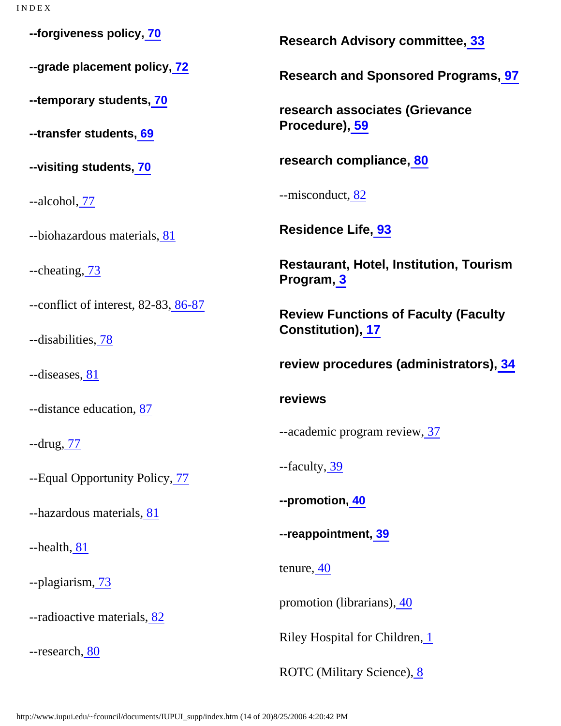**--forgiveness policy, [70](http://www.iupui.edu/~fcouncil/documents/IUPUI_supp/hb3.htm#70) --grade placement policy, [72](http://www.iupui.edu/~fcouncil/documents/IUPUI_supp/hb3.htm#72) --temporary students, [70](http://www.iupui.edu/~fcouncil/documents/IUPUI_supp/hb3.htm#70) --transfer students, [69](http://www.iupui.edu/~fcouncil/documents/IUPUI_supp/hb3.htm#69) --visiting students, [70](http://www.iupui.edu/~fcouncil/documents/IUPUI_supp/hb3.htm#70)** --alcohol[, 77](http://www.iupui.edu/~fcouncil/documents/IUPUI_supp/hb3.htm#77) --biohazardous materials[, 81](http://www.iupui.edu/~fcouncil/documents/IUPUI_supp/hb3.htm#81) --cheating[, 73](http://www.iupui.edu/~fcouncil/documents/IUPUI_supp/hb3.htm#73) --conflict of interest, 82-83[, 86-87](http://www.iupui.edu/~fcouncil/documents/IUPUI_supp/hb3.htm#86) --disabilities, [78](http://www.iupui.edu/~fcouncil/documents/IUPUI_supp/hb3.htm#78) --diseases, [81](http://www.iupui.edu/~fcouncil/documents/IUPUI_supp/hb3.htm#81) --distance education, [87](http://www.iupui.edu/~fcouncil/documents/IUPUI_supp/hb3.htm#87) --drug[, 77](http://www.iupui.edu/~fcouncil/documents/IUPUI_supp/hb3.htm#77) --Equal Opportunity Policy, [77](http://www.iupui.edu/~fcouncil/documents/IUPUI_supp/hb3.htm#77) --hazardous materials[, 81](http://www.iupui.edu/~fcouncil/documents/IUPUI_supp/hb3.htm#81) --health[, 81](http://www.iupui.edu/~fcouncil/documents/IUPUI_supp/hb3.htm#81) --plagiarism, [73](http://www.iupui.edu/~fcouncil/documents/IUPUI_supp/hb3.htm#73) --radioactive materials, [82](http://www.iupui.edu/~fcouncil/documents/IUPUI_supp/hb3.htm#82) --research[, 80](http://www.iupui.edu/~fcouncil/documents/IUPUI_supp/hb3.htm#80) **Research Advisory committee, [33](http://www.iupui.edu/~fcouncil/documents/IUPUI_supp/hb1.htm#33) Research and Sponsored Programs, [97](http://www.iupui.edu/~fcouncil/documents/IUPUI_supp/hb5.htm#97) research associates (Grievance Procedure), [59](http://www.iupui.edu/~fcouncil/documents/IUPUI_supp/hb2.htm#59) research compliance[, 80](http://www.iupui.edu/~fcouncil/documents/IUPUI_supp/hb3.htm#80)** --misconduct[, 82](http://www.iupui.edu/~fcouncil/documents/IUPUI_supp/hb3.htm#82) **Residence Life, [93](http://www.iupui.edu/~fcouncil/documents/IUPUI_supp/hb4.htm#93) Restaurant, Hotel, Institution, Tourism Program[, 3](http://www.iupui.edu/~fcouncil/documents/IUPUI_supp/hb1.htm#3) Review Functions of Faculty (Faculty Constitution), [17](http://www.iupui.edu/~fcouncil/documents/IUPUI_supp/hb1.htm#17) review procedures (administrators)[, 34](http://www.iupui.edu/~fcouncil/documents/IUPUI_supp/hb1.htm#34) reviews** --academic program review[, 37](http://www.iupui.edu/~fcouncil/documents/IUPUI_supp/hb1.htm#37) --faculty, [39](http://www.iupui.edu/~fcouncil/documents/IUPUI_supp/hb.htm#39) **--promotion[, 40](http://www.iupui.edu/~fcouncil/documents/IUPUI_supp/hb2.htm#40) --reappointment, [39](http://www.iupui.edu/~fcouncil/documents/IUPUI_supp/hb.htm#39)** tenure[, 40](http://www.iupui.edu/~fcouncil/documents/IUPUI_supp/hb2.htm#40) promotion (librarians), [40](http://www.iupui.edu/~fcouncil/documents/IUPUI_supp/hb2.htm#40) Riley Hospital for Children[, 1](http://www.iupui.edu/~fcouncil/documents/IUPUI_supp/hb1.htm#1) ROTC (Military Science), [8](http://www.iupui.edu/~fcouncil/documents/IUPUI_supp/hb1.htm#8)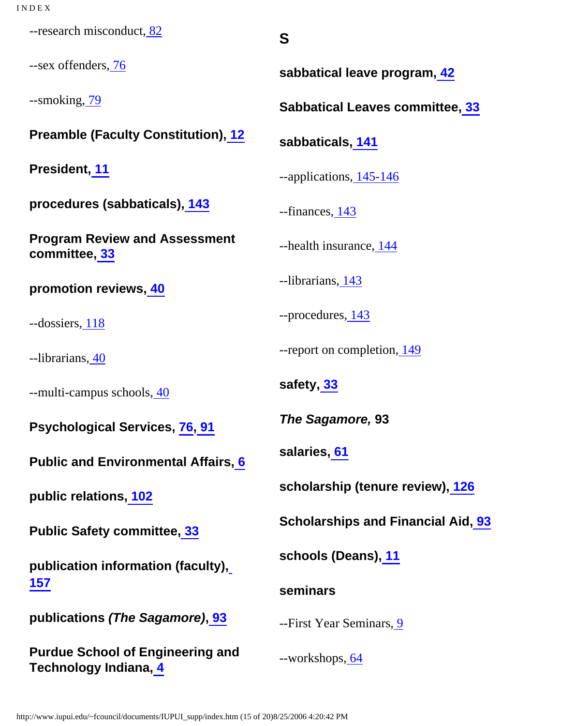<span id="page-28-0"></span>--research misconduct, [82](http://www.iupui.edu/~fcouncil/documents/IUPUI_supp/hb3.htm#82)

--sex offenders, [76](http://www.iupui.edu/~fcouncil/documents/IUPUI_supp/hb3.htm#76)

--smoking[, 79](http://www.iupui.edu/~fcouncil/documents/IUPUI_supp/hb3.htm#79)

**Preamble (Faculty Constitution)[, 12](http://www.iupui.edu/~fcouncil/documents/IUPUI_supp/hb1.htm#12)**

**President, [11](http://www.iupui.edu/~fcouncil/documents/IUPUI_supp/hb1.htm#11)**

**procedures (sabbaticals), [143](http://www.iupui.edu/~fcouncil/documents/IUPUI_supp/appc.htm)**

**Program Review and Assessment committee, [33](http://www.iupui.edu/~fcouncil/documents/IUPUI_supp/hb1.htm#33)**

**promotion reviews[, 40](http://www.iupui.edu/~fcouncil/documents/IUPUI_supp/hb2.htm#40)**

--dossiers, [118](http://www.iupui.edu/~fcouncil/documents/IUPUI_supp/appb.htm)

--librarians, [40](http://www.iupui.edu/~fcouncil/documents/IUPUI_supp/hb2.htm#40)

--multi-campus schools[, 40](http://www.iupui.edu/~fcouncil/documents/IUPUI_supp/hb2.htm#40)

**Psychological Services, [76,](http://www.iupui.edu/~fcouncil/documents/IUPUI_supp/hb3.htm#76) [91](http://www.iupui.edu/~fcouncil/documents/IUPUI_supp/hb4.htm#91)**

**Public and Environmental Affairs[, 6](http://www.iupui.edu/~fcouncil/documents/IUPUI_supp/hb1.htm#6)**

**public relations[, 102](http://www.iupui.edu/~fcouncil/documents/IUPUI_supp/hb5.htm#102)**

**Public Safety committee, [33](http://www.iupui.edu/~fcouncil/documents/IUPUI_supp/hb1.htm#33)**

**publication information (faculty), [157](http://www.iupui.edu/~fcouncil/documents/IUPUI_supp/appe.htm)**

**publications (The Sagamore)[, 93](http://www.iupui.edu/~fcouncil/documents/IUPUI_supp/hb4.htm#93)**

**Purdue School of Engineering and Technology Indiana[, 4](http://www.iupui.edu/~fcouncil/documents/IUPUI_supp/hb1.htm#4)**

**sabbatical leave program, [42](http://www.iupui.edu/~fcouncil/documents/IUPUI_supp/hb2.htm#42)**

**Sabbatical Leaves committee[, 33](http://www.iupui.edu/~fcouncil/documents/IUPUI_supp/hb1.htm#33)**

**sabbaticals[, 141](http://www.iupui.edu/~fcouncil/documents/IUPUI_supp/appc.htm)**

**S**

--applications[, 145-146](http://www.iupui.edu/~fcouncil/documents/IUPUI_supp/appc.htm)

--finances[, 143](http://www.iupui.edu/~fcouncil/documents/IUPUI_supp/appc.htm)

--health insurance[, 144](http://www.iupui.edu/~fcouncil/documents/IUPUI_supp/appc.htm)

--librarians, [143](http://www.iupui.edu/~fcouncil/documents/IUPUI_supp/appc.htm)

--procedures[, 143](http://www.iupui.edu/~fcouncil/documents/IUPUI_supp/appc.htm)

--report on completion[, 149](http://www.iupui.edu/~fcouncil/documents/IUPUI_supp/appc.htm)

**safety[, 33](http://www.iupui.edu/~fcouncil/documents/IUPUI_supp/hb1.htm#33)**

**The Sagamore, 93**

**salaries[, 61](http://www.iupui.edu/~fcouncil/documents/IUPUI_supp/hb2.htm#61)**

**scholarship (tenure review), [126](http://www.iupui.edu/~fcouncil/documents/IUPUI_supp/appb.htm)**

**Scholarships and Financial Aid, [93](http://www.iupui.edu/~fcouncil/documents/IUPUI_supp/hb4.htm#93)**

**schools (Deans)[, 11](http://www.iupui.edu/~fcouncil/documents/IUPUI_supp/hb1.htm#11)**

**seminars**

--First Year Seminars, [9](http://www.iupui.edu/~fcouncil/documents/IUPUI_supp/hb1.htm#9)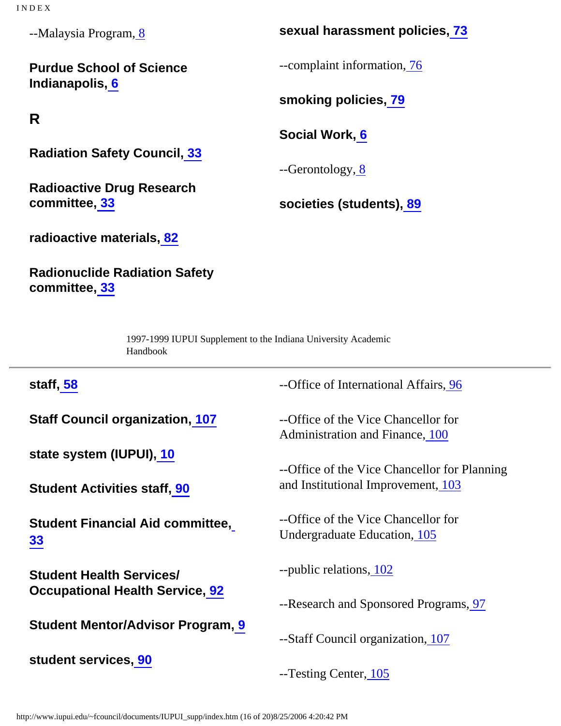I N D E X

--Malaysia Program, [8](http://www.iupui.edu/~fcouncil/documents/IUPUI_supp/hb1.htm#8)

**Purdue School of Science Indianapolis, [6](http://www.iupui.edu/~fcouncil/documents/IUPUI_supp/hb1.htm#6)**

<span id="page-29-0"></span>**R**

**Radiation Safety Council, [33](http://www.iupui.edu/~fcouncil/documents/IUPUI_supp/hb1.htm#33)**

**Radioactive Drug Research committee, [33](http://www.iupui.edu/~fcouncil/documents/IUPUI_supp/hb1.htm#33)**

**sexual harassment policies, [73](http://www.iupui.edu/~fcouncil/documents/IUPUI_supp/hb3.htm#73)**

--complaint information[, 76](http://www.iupui.edu/~fcouncil/documents/IUPUI_supp/hb3.htm#76)

**smoking policies[, 79](http://www.iupui.edu/~fcouncil/documents/IUPUI_supp/hb3.htm#79)**

**Social Work[, 6](http://www.iupui.edu/~fcouncil/documents/IUPUI_supp/hb1.htm#6)**

--Gerontology, [8](http://www.iupui.edu/~fcouncil/documents/IUPUI_supp/hb1.htm#8)

**societies (students)[, 89](http://www.iupui.edu/~fcouncil/documents/IUPUI_supp/hb3.htm#89)**

**radioactive materials[, 82](http://www.iupui.edu/~fcouncil/documents/IUPUI_supp/hb3.htm#82)**

**Radionuclide Radiation Safety committee, [33](http://www.iupui.edu/~fcouncil/documents/IUPUI_supp/hb1.htm#33)**

> 1997-1999 IUPUI Supplement to the Indiana University Academic Handbook

| staff, 58                                                                 | --Office of International Affairs, 96                                  |
|---------------------------------------------------------------------------|------------------------------------------------------------------------|
| <b>Staff Council organization, 107</b>                                    | --Office of the Vice Chancellor for<br>Administration and Finance, 100 |
| state system (IUPUI), 10                                                  | --Office of the Vice Chancellor for Planning                           |
| <b>Student Activities staff, 90</b>                                       | and Institutional Improvement, 103                                     |
| <b>Student Financial Aid committee,</b><br>33                             | --Office of the Vice Chancellor for<br>Undergraduate Education, 105    |
| <b>Student Health Services/</b><br><b>Occupational Health Service, 92</b> | --public relations, 102                                                |
| <b>Student Mentor/Advisor Program, 9</b>                                  | --Research and Sponsored Programs, 97                                  |
|                                                                           | --Staff Council organization, 107                                      |
| student services, 90                                                      | --Testing Center, 105                                                  |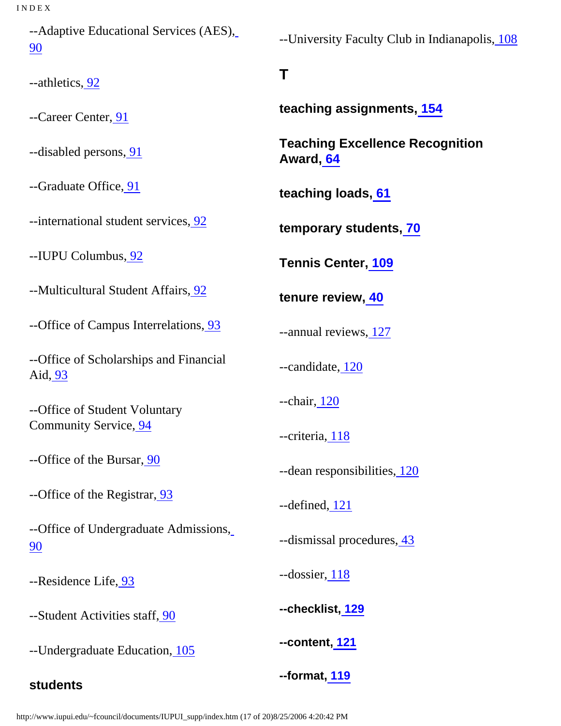--Adaptive Educational Services (AES), [90](http://www.iupui.edu/~fcouncil/documents/IUPUI_supp/hb4.htm#90)

<span id="page-30-0"></span>--athletics[, 92](http://www.iupui.edu/~fcouncil/documents/IUPUI_supp/hb4.htm#92)

--Career Center, [91](http://www.iupui.edu/~fcouncil/documents/IUPUI_supp/hb4.htm#91)

--disabled persons, [91](http://www.iupui.edu/~fcouncil/documents/IUPUI_supp/hb4.htm#91)

--Graduate Office[, 91](http://www.iupui.edu/~fcouncil/documents/IUPUI_supp/hb4.htm#91)

--international student services[, 92](http://www.iupui.edu/~fcouncil/documents/IUPUI_supp/hb4.htm#92)

--IUPU Columbus, [92](http://www.iupui.edu/~fcouncil/documents/IUPUI_supp/hb4.htm#92)

--Multicultural Student Affairs[, 92](http://www.iupui.edu/~fcouncil/documents/IUPUI_supp/hb4.htm#92)

--Office of Campus Interrelations[, 93](http://www.iupui.edu/~fcouncil/documents/IUPUI_supp/hb4.htm#93)

--Office of Scholarships and Financial Aid[, 93](http://www.iupui.edu/~fcouncil/documents/IUPUI_supp/hb4.htm#93)

--Office of Student Voluntary Community Service, [94](http://www.iupui.edu/~fcouncil/documents/IUPUI_supp/hb4.htm#94)

--Office of the Bursar[, 90](http://www.iupui.edu/~fcouncil/documents/IUPUI_supp/hb4.htm#90)

--Office of the Registrar[, 93](http://www.iupui.edu/~fcouncil/documents/IUPUI_supp/hb4.htm#93)

--Office of Undergraduate Admissions, [90](http://www.iupui.edu/~fcouncil/documents/IUPUI_supp/hb4.htm#90)

--Residence Life[, 93](http://www.iupui.edu/~fcouncil/documents/IUPUI_supp/hb4.htm#93)

--Student Activities staff, [90](http://www.iupui.edu/~fcouncil/documents/IUPUI_supp/hb4.htm#90)

--Undergraduate Education[, 105](http://www.iupui.edu/~fcouncil/documents/IUPUI_supp/hb5.htm#105)

### **students**

--University Faculty Club in Indianapolis[, 108](http://www.iupui.edu/~fcouncil/documents/IUPUI_supp/hb5.htm#108)

# **T**

**teaching assignments, [154](http://www.iupui.edu/~fcouncil/documents/IUPUI_supp/appd.htm)**

**Teaching Excellence Recognition Award, [64](http://www.iupui.edu/~fcouncil/documents/IUPUI_supp/hb2.htm#64)**

**teaching loads, [61](http://www.iupui.edu/~fcouncil/documents/IUPUI_supp/hb2.htm#61)**

**temporary students, [70](http://www.iupui.edu/~fcouncil/documents/IUPUI_supp/hb3.htm#70)**

**Tennis Center[, 109](http://www.iupui.edu/~fcouncil/documents/IUPUI_supp/hb5.htm#109)**

**tenure review[, 40](http://www.iupui.edu/~fcouncil/documents/IUPUI_supp/hb2.htm#40)**

--annual reviews[, 127](http://www.iupui.edu/~fcouncil/documents/IUPUI_supp/appb.htm)

--candidate[, 120](http://www.iupui.edu/~fcouncil/documents/IUPUI_supp/appb.htm)

--chair, [120](http://www.iupui.edu/~fcouncil/documents/IUPUI_supp/appb.htm)

--criteria[, 118](http://www.iupui.edu/~fcouncil/documents/IUPUI_supp/appb.htm)

--dean responsibilities, [120](http://www.iupui.edu/~fcouncil/documents/IUPUI_supp/appb.htm)

--defined, [121](http://www.iupui.edu/~fcouncil/documents/IUPUI_supp/appb.htm)

--dismissal procedures, [43](http://www.iupui.edu/~fcouncil/documents/IUPUI_supp/hb2.htm#43)

--dossier[, 118](http://www.iupui.edu/~fcouncil/documents/IUPUI_supp/appb.htm)

**--checklist, [129](http://www.iupui.edu/~fcouncil/documents/IUPUI_supp/appb.htm)**

**--content, [121](http://www.iupui.edu/~fcouncil/documents/IUPUI_supp/appb.htm)**

**--format[, 119](http://www.iupui.edu/~fcouncil/documents/IUPUI_supp/appb.htm)**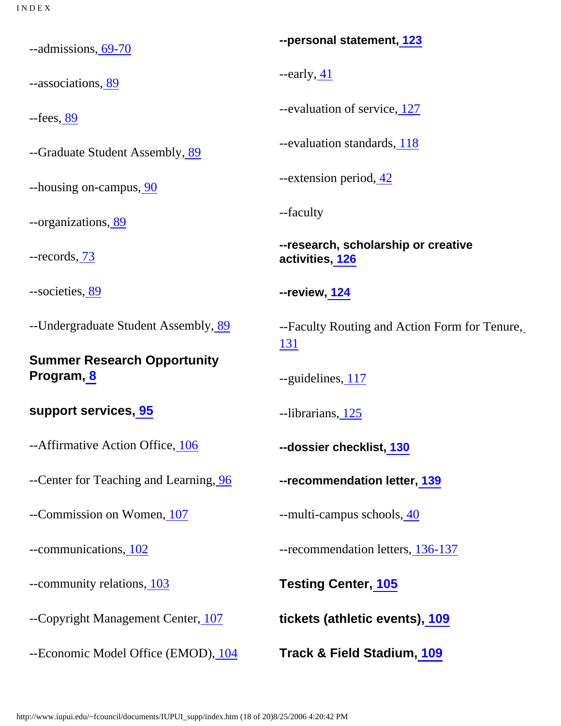--admissions[, 69-70](http://www.iupui.edu/~fcouncil/documents/IUPUI_supp/hb3.htm#69)

--associations[, 89](http://www.iupui.edu/~fcouncil/documents/IUPUI_supp/hb3.htm#89)

--fees[, 89](http://www.iupui.edu/~fcouncil/documents/IUPUI_supp/hb3.htm#89)

--Graduate Student Assembly, [89](http://www.iupui.edu/~fcouncil/documents/IUPUI_supp/hb3.htm#89)

--housing on-campus[, 90](http://www.iupui.edu/~fcouncil/documents/IUPUI_supp/hb4.htm#90)

--organizations[, 89](http://www.iupui.edu/~fcouncil/documents/IUPUI_supp/hb3.htm#89)

--records[, 73](http://www.iupui.edu/~fcouncil/documents/IUPUI_supp/hb3.htm#73)

--societies[, 89](http://www.iupui.edu/~fcouncil/documents/IUPUI_supp/hb3.htm#89)

--Undergraduate Student Assembly, [89](http://www.iupui.edu/~fcouncil/documents/IUPUI_supp/hb3.htm#89)

**Summer Research Opportunity Program[, 8](http://www.iupui.edu/~fcouncil/documents/IUPUI_supp/hb1.htm#8)**

### **support services, [95](http://www.iupui.edu/~fcouncil/documents/IUPUI_supp/hb5.htm#95)**

--Affirmative Action Office, [106](http://www.iupui.edu/~fcouncil/documents/IUPUI_supp/hb5.htm#106)

--Center for Teaching and Learning[, 96](http://www.iupui.edu/~fcouncil/documents/IUPUI_supp/hb5.htm#96)

--Commission on Women, [107](http://www.iupui.edu/~fcouncil/documents/IUPUI_supp/hb5.htm#107)

--communications[, 102](http://www.iupui.edu/~fcouncil/documents/IUPUI_supp/hb5.htm#102)

--community relations[, 103](http://www.iupui.edu/~fcouncil/documents/IUPUI_supp/hb5.htm#103)

--Copyright Management Center[, 107](http://www.iupui.edu/~fcouncil/documents/IUPUI_supp/hb5.htm#107)

--Economic Model Office (EMOD), [104](http://www.iupui.edu/~fcouncil/documents/IUPUI_supp/hb5.htm#104)

**--personal statement, [123](http://www.iupui.edu/~fcouncil/documents/IUPUI_supp/appb.htm)**

--early, [41](http://www.iupui.edu/~fcouncil/documents/IUPUI_supp/hb2.htm#41)

--evaluation of service[, 127](http://www.iupui.edu/~fcouncil/documents/IUPUI_supp/appb.htm)

--evaluation standards, [118](http://www.iupui.edu/~fcouncil/documents/IUPUI_supp/appb.htm)

--extension period, [42](http://www.iupui.edu/~fcouncil/documents/IUPUI_supp/hb2.htm#42)

--faculty

**--research, scholarship or creative activities, [126](http://www.iupui.edu/~fcouncil/documents/IUPUI_supp/appb.htm)**

**--review[, 124](http://www.iupui.edu/~fcouncil/documents/IUPUI_supp/appb.htm)**

--Faculty Routing and Action Form for Tenure, [131](http://www.iupui.edu/~fcouncil/documents/IUPUI_supp/appb.htm)

--guidelines[, 117](http://www.iupui.edu/~fcouncil/documents/IUPUI_supp/hb2.htm#117)

--librarians, [125](http://www.iupui.edu/~fcouncil/documents/IUPUI_supp/appb.htm)

**--dossier checklist[, 130](http://www.iupui.edu/~fcouncil/documents/IUPUI_supp/appb.htm)**

**--recommendation letter, [139](http://www.iupui.edu/~fcouncil/documents/IUPUI_supp/appb.htm)**

--multi-campus schools[, 40](http://www.iupui.edu/~fcouncil/documents/IUPUI_supp/hb2.htm#40)

--recommendation letters, [136-137](http://www.iupui.edu/~fcouncil/documents/IUPUI_supp/appb.htm)

**Testing Center, [105](http://www.iupui.edu/~fcouncil/documents/IUPUI_supp/hb5.htm#105)**

**tickets (athletic events), [109](http://www.iupui.edu/~fcouncil/documents/IUPUI_supp/hb5.htm#109)**

**Track & Field Stadium, [109](http://www.iupui.edu/~fcouncil/documents/IUPUI_supp/hb5.htm#109)**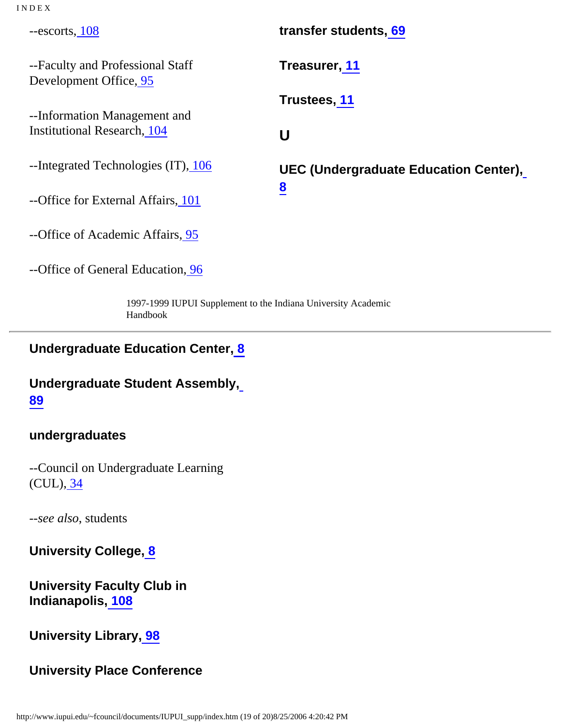--escorts, [108](http://www.iupui.edu/~fcouncil/documents/IUPUI_supp/hb5.htm#108)

--Faculty and Professional Staff Development Office[, 95](http://www.iupui.edu/~fcouncil/documents/IUPUI_supp/hb5.htm#95)

<span id="page-32-0"></span>--Information Management and Institutional Research, [104](http://www.iupui.edu/~fcouncil/documents/IUPUI_supp/hb5.htm#104)

--Integrated Technologies (IT), [106](http://www.iupui.edu/~fcouncil/documents/IUPUI_supp/hb5.htm#106)

--Office for External Affairs[, 101](http://www.iupui.edu/~fcouncil/documents/IUPUI_supp/hb5.htm#101)

--Office of Academic Affairs[, 95](http://www.iupui.edu/~fcouncil/documents/IUPUI_supp/hb5.htm#95)

--Office of General Education, [96](http://www.iupui.edu/~fcouncil/documents/IUPUI_supp/hb5.htm#96)

**transfer students[, 69](http://www.iupui.edu/~fcouncil/documents/IUPUI_supp/hb3.htm#69) Treasurer[, 11](http://www.iupui.edu/~fcouncil/documents/IUPUI_supp/hb1.htm#11) Trustees[, 11](http://www.iupui.edu/~fcouncil/documents/IUPUI_supp/hb1.htm#11) U UEC (Undergraduate Education Center), [8](http://www.iupui.edu/~fcouncil/documents/IUPUI_supp/hb1.htm#8)**

1997-1999 IUPUI Supplement to the Indiana University Academic Handbook

### **Undergraduate Education Center[, 8](http://www.iupui.edu/~fcouncil/documents/IUPUI_supp/hb1.htm#8)**

# **Undergraduate Student Assembly, [89](http://www.iupui.edu/~fcouncil/documents/IUPUI_supp/hb3.htm#89)**

### **undergraduates**

--Council on Undergraduate Learning (CUL), [34](http://www.iupui.edu/~fcouncil/documents/IUPUI_supp/hb1.htm#34)

--*see also*, students

**University College[, 8](http://www.iupui.edu/~fcouncil/documents/IUPUI_supp/hb1.htm#8)**

**University Faculty Club in Indianapolis, [108](http://www.iupui.edu/~fcouncil/documents/IUPUI_supp/hb5.htm#108)**

### **University Library, [98](http://www.iupui.edu/~fcouncil/documents/IUPUI_supp/hb5.htm#98)**

### **University Place Conference**